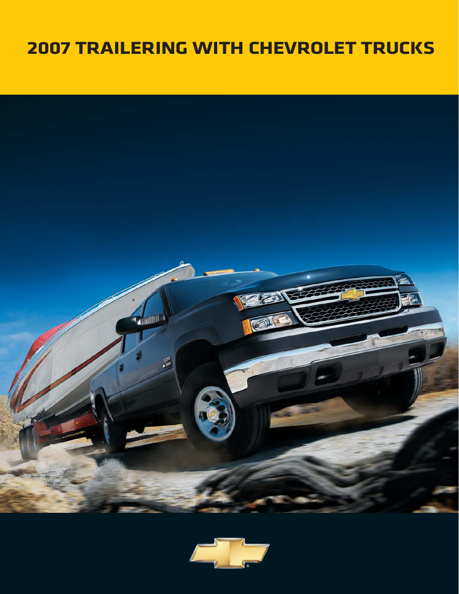# **2007 TRAILERING WITH CHEVROLET TRUCKS**



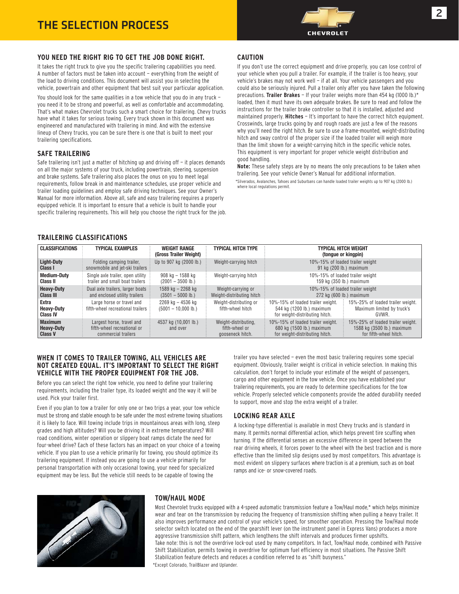

#### **YOU NEED THE RIGHT RIG TO GET THE JOB DONE RIGHT.**

It takes the right truck to give you the specific trailering capabilities you need. A number of factors must be taken into account — everything from the weight of the load to driving conditions. This document will assist you in selecting the vehicle, powertrain and other equipment that best suit your particular application.

You should look for the same qualities in a tow vehicle that you do in any truck you need it to be strong and powerful, as well as comfortable and accommodating. That's what makes Chevrolet trucks such a smart choice for trailering. Chevy trucks have what it takes for serious towing. Every truck shown in this document was engineered and manufactured with trailering in mind. And with the extensive lineup of Chevy trucks, you can be sure there is one that is built to meet your trailering specifications.

#### **SAFE TRAILERING**

Safe trailering isn't just a matter of hitching up and driving off  $-$  it places demands on all the major systems of your truck, including powertrain, steering, suspension and brake systems. Safe trailering also places the onus on you to meet legal requirements, follow break in and maintenance schedules, use proper vehicle and trailer loading guidelines and employ safe driving techniques. See your Owner's Manual for more information. Above all, safe and easy trailering requires a properly equipped vehicle. It is important to ensure that a vehicle is built to handle your specific trailering requirements. This will help you choose the right truck for the job.

#### **CAUTION**

If you don't use the correct equipment and drive properly, you can lose control of your vehicle when you pull a trailer. For example, if the trailer is too heavy, your vehicle's brakes may not work well — if at all. Your vehicle passengers and you could also be seriously injured. Pull a trailer only after you have taken the following precautions. **Trailer Brakes** — If your trailer weighs more than 454 kg (1000 lb.)\* loaded, then it must have its own adequate brakes. Be sure to read and follow the instructions for the trailer brake controller so that it is installed, adjusted and maintained properly. **Hitches** — It's important to have the correct hitch equipment. Crosswinds, large trucks going by and rough roads are just a few of the reasons why you'll need the right hitch. Be sure to use a frame-mounted, weight-distributing hitch and sway control of the proper size if the loaded trailer will weigh more than the limit shown for a weight-carrying hitch in the specific vehicle notes. This equipment is very important for proper vehicle weight distribution and good handling.

**Note:** These safety steps are by no means the only precautions to be taken when trailering. See your vehicle Owner's Manual for additional information. \*Silverados, Avalanches, Tahoes and Suburbans can handle loaded trailer weights up to 907 kg (2000 lb.) where local regulations permit.

#### **TRAILERING CLASSIFICATIONS**

| <b>CLASSIFICATIONS</b>                                | <b>TYPICAL EXAMPLES</b>                                                         | <b>WEIGHT RANGE</b><br>(Gross Trailer Weight)      | <b>TYPICAL HITCH TYPE</b>                                  | <b>TYPICAL HITCH WEIGHT</b><br>(tonque or kingpin)                                                                                                                                            |
|-------------------------------------------------------|---------------------------------------------------------------------------------|----------------------------------------------------|------------------------------------------------------------|-----------------------------------------------------------------------------------------------------------------------------------------------------------------------------------------------|
| Light-Duty<br>Class I                                 | Folding camping trailer,<br>snowmobile and jet-ski trailers                     | Up to 907 kg (2000 lb.)                            | Weight-carrying hitch                                      | 10%-15% of loaded trailer weight<br>91 kg (200 lb.) maximum                                                                                                                                   |
| <b>Medium-Duty</b><br>Class II                        | Single axle trailer, open utility<br>trailer and small boat trailers            | 908 kg – 1588 kg<br>$(2001 - 3500 \, lb.)$         | Weight-carrying hitch                                      | 10%-15% of loaded trailer weight<br>159 kg (350 lb.) maximum                                                                                                                                  |
| <b>Heavy-Duty</b><br><b>Class III</b>                 | Dual axle trailers, larger boats<br>and enclosed utility trailers               | 1589 kg - 2268 kg<br>$(3501 - 5000 \, lb.)$        | Weight-carrying or<br>Weight-distributing hitch            | 10%-15% of loaded trailer weight<br>272 kg (600 lb.) maximum                                                                                                                                  |
| Extra<br><b>Heavy-Duty</b><br><b>Class IV</b>         | Large horse or travel and<br>fifth-wheel recreational trailers                  | 2269 kg – 4536 kg<br>$(5001 - 10,000 \text{ lb.})$ | Weight-distributing or<br>fifth-wheel hitch                | 10%-15% of loaded trailer weight.<br>15%-25% of loaded trailer weight.<br>544 kg (1200 lb.) maximum<br>Maximum limited by truck's<br>for weight-distributing hitch.<br>GVWR.                  |
| <b>Maximum</b><br><b>Heavy-Duty</b><br><b>Class V</b> | Largest horse, travel and<br>fifth-wheel recreational or<br>commercial trailers | 4537 kg (10,001 lb.)<br>and over                   | Weight-distributing.<br>fifth-wheel or<br>gooseneck hitch. | 10%-15% of loaded trailer weight.<br>15%-25% of loaded trailer weight.<br>680 kg (1500 lb.) maximum<br>1588 kg (3500 lb.) maximum<br>for weight-distributing hitch.<br>for fifth-wheel hitch. |

#### **WHEN IT COMES TO TRAILER TOWING, ALL VEHICLES ARE NOT CREATED EQUAL. IT'S IMPORTANT TO SELECT THE RIGHT VEHICLE WITH THE PROPER EQUIPMENT FOR THE JOB.**

Before you can select the right tow vehicle, you need to define your trailering requirements, including the trailer type, its loaded weight and the way it will be used. Pick your trailer first.

Even if you plan to tow a trailer for only one or two trips a year, your tow vehicle must be strong and stable enough to be safe under the most extreme towing situations it is likely to face. Will towing include trips in mountainous areas with long, steep grades and high altitudes? Will you be driving it in extreme temperatures? Will road conditions, winter operation or slippery boat ramps dictate the need for four-wheel drive? Each of these factors has an impact on your choice of a towing vehicle. If you plan to use a vehicle primarily for towing, you should optimize its trailering equipment. If instead you are going to use a vehicle primarily for personal transportation with only occasional towing, your need for specialized equipment may be less. But the vehicle still needs to be capable of towing the

trailer you have selected — even the most basic trailering requires some special equipment. Obviously, trailer weight is critical in vehicle selection. In making this calculation, don't forget to include your estimate of the weight of passengers, cargo and other equipment in the tow vehicle. Once you have established your trailering requirements, you are ready to determine specifications for the tow vehicle. Properly selected vehicle components provide the added durability needed to support, move and stop the extra weight of a trailer.

#### **LOCKING REAR AXLE**

A locking-type differential is available in most Chevy trucks and is standard in many. It permits normal differential action, which helps prevent tire scuffing when turning. If the differential senses an excessive difference in speed between the rear driving wheels, it forces power to the wheel with the best traction and is more effective than the limited slip designs used by most competitors. This advantage is most evident on slippery surfaces where traction is at a premium, such as on boat ramps and ice- or snow-covered roads.



#### **TOW/HAUL MODE**

Most Chevrolet trucks equipped with a 4-speed automatic transmission feature a Tow/Haul mode,\* which helps minimize wear and tear on the transmission by reducing the frequency of transmission shifting when pulling a heavy trailer. It also improves performance and control of your vehicle's speed, for smoother operation. Pressing the Tow/Haul mode selector switch located on the end of the gearshift lever (on the instrument panel in Express Vans) produces a more aggressive transmission shift pattern, which lengthens the shift intervals and produces firmer upshifts. Take note: this is not the overdrive lock-out used by many competitors. In fact, Tow/Haul mode, combined with Passive Shift Stabilization, permits towing in overdrive for optimum fuel efficiency in most situations. The Passive Shift Stabilization feature detects and reduces a condition referred to as "shift busyness." \*Except Colorado, TrailBlazer and Uplander.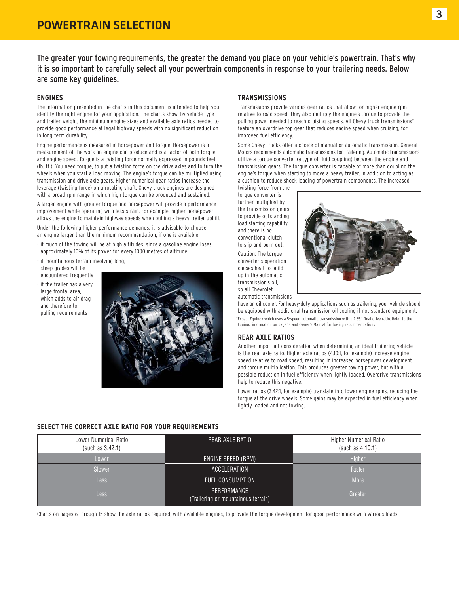The greater your towing requirements, the greater the demand you place on your vehicle's powertrain. That's why it is so important to carefully select all your powertrain components in response to your trailering needs. Below are some key guidelines.

#### **ENGINES**

The information presented in the charts in this document is intended to help you identify the right engine for your application. The charts show, by vehicle type and trailer weight, the minimum engine sizes and available axle ratios needed to provide good performance at legal highway speeds with no significant reduction in long-term durability.

Engine performance is measured in horsepower and torque. Horsepower is a measurement of the work an engine can produce and is a factor of both torque and engine speed. Torque is a twisting force normally expressed in pounds-feet (lb.-ft.). You need torque, to put a twisting force on the drive axles and to turn the wheels when you start a load moving. The engine's torque can be multiplied using transmission and drive axle gears. Higher numerical gear ratios increase the leverage (twisting force) on a rotating shaft. Chevy truck engines are designed with a broad rpm range in which high torque can be produced and sustained.

A larger engine with greater torque and horsepower will provide a performance improvement while operating with less strain. For example, higher horsepower allows the engine to maintain highway speeds when pulling a heavy trailer uphill.

Under the following higher performance demands, it is advisable to choose an engine larger than the minimum recommendation, if one is available:

- if much of the towing will be at high altitudes, since a gasoline engine loses approximately 10% of its power for every 1000 metres of altitude
- if mountainous terrain involving long, steep grades will be encountered frequently
- if the trailer has a very large frontal area. which adds to air drag and therefore to pulling requirements



#### **TRANSMISSIONS**

Transmissions provide various gear ratios that allow for higher engine rpm relative to road speed. They also multiply the engine's torque to provide the pulling power needed to reach cruising speeds. All Chevy truck transmissions\* feature an overdrive top gear that reduces engine speed when cruising, for improved fuel efficiency.

Some Chevy trucks offer a choice of manual or automatic transmission. General Motors recommends automatic transmissions for trailering. Automatic transmissions utilize a torque converter (a type of fluid coupling) between the engine and transmission gears. The torque converter is capable of more than doubling the engine's torque when starting to move a heavy trailer, in addition to acting as a cushion to reduce shock loading of powertrain components. The increased

twisting force from the torque converter is further multiplied by the transmission gears to provide outstanding load-starting capability and there is no conventional clutch to slip and burn out. Caution: The torque converter's operation causes heat to build up in the automatic transmission's oil, so all Chevrolet automatic transmissions



have an oil cooler. For heavy-duty applications such as trailering, your vehicle should be equipped with additional transmission oil cooling if not standard equipment. \*Except Equinox which uses a 5-speed automatic transmission with a 2.65:1 final drive ratio. Refer to the Equinox information on page 14 and Owner's Manual for towing recommendations.

#### **REAR AXLE RATIOS**

Another important consideration when determining an ideal trailering vehicle is the rear axle ratio. Higher axle ratios (4.10:1, for example) increase engine speed relative to road speed, resulting in increased horsepower development and torque multiplication. This produces greater towing power, but with a possible reduction in fuel efficiency when lightly loaded. Overdrive transmissions help to reduce this negative.

Lower ratios (3.42:1, for example) translate into lower engine rpms, reducing the torque at the drive wheels. Some gains may be expected in fuel efficiency when lightly loaded and not towing.

#### **SELECT THE CORRECT AXLE RATIO FOR YOUR REQUIREMENTS**

| Lower Numerical Ratio<br>(such as 3.42:1) | REAR AXLE RATIO                                    | <b>Higher Numerical Ratio</b><br>(such as 4.10:1) |
|-------------------------------------------|----------------------------------------------------|---------------------------------------------------|
| Lower                                     | ENGINE SPEED (RPM)                                 | <b>Higher</b>                                     |
| Slower                                    | ACCELERATION                                       | Faster                                            |
| <b>Less</b>                               | FUEL CONSUMPTION                                   | More                                              |
| <b>Less</b>                               | PERFORMANCE<br>(Trailering or mountainous terrain) | Greater                                           |

Charts on pages 6 through 15 show the axle ratios required, with available engines, to provide the torque development for good performance with various loads.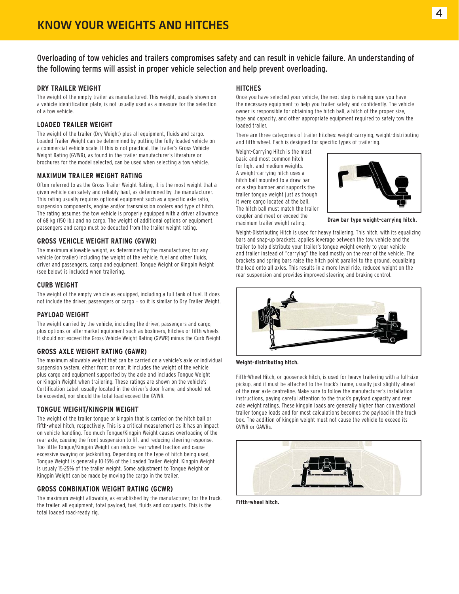Overloading of tow vehicles and trailers compromises safety and can result in vehicle failure. An understanding of the following terms will assist in proper vehicle selection and help prevent overloading.

#### **DRY TRAILER WEIGHT**

The weight of the empty trailer as manufactured. This weight, usually shown on a vehicle identification plate, is not usually used as a measure for the selection of a tow vehicle.

#### **LOADED TRAILER WEIGHT**

The weight of the trailer (Dry Weight) plus all equipment, fluids and cargo. Loaded Trailer Weight can be determined by putting the fully loaded vehicle on a commercial vehicle scale. If this is not practical, the trailer's Gross Vehicle Weight Rating (GVWR), as found in the trailer manufacturer's literature or brochures for the model selected, can be used when selecting a tow vehicle.

#### **MAXIMUM TRAILER WEIGHT RATING**

Often referred to as the Gross Trailer Weight Rating, it is the most weight that a given vehicle can safely and reliably haul, as determined by the manufacturer. This rating usually requires optional equipment such as a specific axle ratio, suspension components, engine and/or transmission coolers and type of hitch. The rating assumes the tow vehicle is properly equipped with a driver allowance of 68 kg (150 lb.) and no cargo. The weight of additional options or equipment, passengers and cargo must be deducted from the trailer weight rating.

#### **GROSS VEHICLE WEIGHT RATING (GVWR)**

The maximum allowable weight, as determined by the manufacturer, for any vehicle (or trailer) including the weight of the vehicle, fuel and other fluids, driver and passengers, cargo and equipment. Tongue Weight or Kingpin Weight (see below) is included when trailering.

#### **CURB WEIGHT**

The weight of the empty vehicle as equipped, including a full tank of fuel. It does not include the driver, passengers or cargo — so it is similar to Dry Trailer Weight.

#### **PAYLOAD WEIGHT**

The weight carried by the vehicle, including the driver, passengers and cargo, plus options or aftermarket equipment such as boxliners, hitches or fifth wheels. It should not exceed the Gross Vehicle Weight Rating (GVWR) minus the Curb Weight.

#### **GROSS AXLE WEIGHT RATING (GAWR)**

The maximum allowable weight that can be carried on a vehicle's axle or individual suspension system, either front or rear. It includes the weight of the vehicle plus cargo and equipment supported by the axle and includes Tongue Weight or Kingpin Weight when trailering. These ratings are shown on the vehicle's Certification Label, usually located in the driver's door frame, and should not be exceeded, nor should the total load exceed the GVWR.

#### **TONGUE WEIGHT/KINGPIN WEIGHT**

The weight of the trailer tongue or kingpin that is carried on the hitch ball or fifth-wheel hitch, respectively. This is a critical measurement as it has an impact on vehicle handling. Too much Tongue/Kingpin Weight causes overloading of the rear axle, causing the front suspension to lift and reducing steering response. Too little Tongue/Kingpin Weight can reduce rear-wheel traction and cause excessive swaying or jackknifing. Depending on the type of hitch being used, Tongue Weight is generally 10-15% of the Loaded Trailer Weight. Kingpin Weight is usualy 15-25% of the trailer weight. Some adjustment to Tongue Weight or Kingpin Weight can be made by moving the cargo in the trailer.

#### **GROSS COMBINATION WEIGHT RATING (GCWR)**

The maximum weight allowable, as established by the manufacturer, for the truck, the trailer, all equipment, total payload, fuel, fluids and occupants. This is the total loaded road-ready rig.

#### **HITCHES**

Once you have selected your vehicle, the next step is making sure you have the necessary equipment to help you trailer safely and confidently. The vehicle owner is responsible for obtaining the hitch ball, a hitch of the proper size, type and capacity, and other appropriate equipment required to safely tow the loaded trailer.

There are three categories of trailer hitches: weight-carrying, weight-distributing and fifth-wheel. Each is designed for specific types of trailering.

Weight-Carrying Hitch is the most basic and most common hitch for light and medium weights. A weight-carrying hitch uses a hitch ball mounted to a draw bar or a step-bumper and supports the trailer tongue weight just as though it were cargo located at the ball. The hitch ball must match the trailer coupler and meet or exceed the maximum trailer weight rating.



**Draw bar type weight-carrying hitch.**

Weight-Distributing Hitch is used for heavy trailering. This hitch, with its equalizing bars and snap-up brackets, applies leverage between the tow vehicle and the trailer to help distribute your trailer's tongue weight evenly to your vehicle and trailer instead of "carrying" the load mostly on the rear of the vehicle. The brackets and spring bars raise the hitch point parallel to the ground, equalizing the load onto all axles. This results in a more level ride, reduced weight on the rear suspension and provides improved steering and braking control.



**Weight-distributing hitch.**

Fifth-Wheel Hitch, or gooseneck hitch, is used for heavy trailering with a full-size pickup, and it must be attached to the truck's frame, usually just slightly ahead of the rear axle centreline. Make sure to follow the manufacturer's installation instructions, paying careful attention to the truck's payload capacity and rear axle weight ratings. These kingpin loads are generally higher than conventional trailer tongue loads and for most calculations becomes the payload in the truck box. The addition of kingpin weight must not cause the vehicle to exceed its GVWR or GAWRs.



**Fifth-wheel hitch.**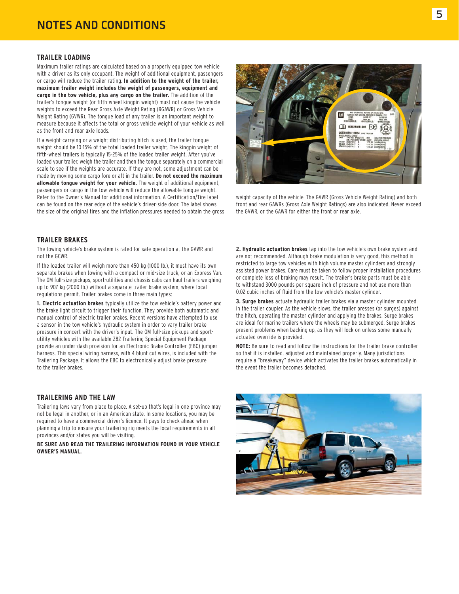#### **TRAILER LOADING**

Maximum trailer ratings are calculated based on a properly equipped tow vehicle with a driver as its only occupant. The weight of additional equipment, passengers or cargo will reduce the trailer rating. **In addition to the weight of the trailer, maximum trailer weight includes the weight of passengers, equipment and cargo in the tow vehicle, plus any cargo on the trailer.** The addition of the trailer's tongue weight (or fifth-wheel kingpin weight) must not cause the vehicle weights to exceed the Rear Gross Axle Weight Rating (RGAWR) or Gross Vehicle Weight Rating (GVWR). The tongue load of any trailer is an important weight to measure because it affects the total or gross vehicle weight of your vehicle as well as the front and rear axle loads.

If a weight-carrying or a weight-distributing hitch is used, the trailer tongue weight should be 10-15% of the total loaded trailer weight. The kingpin weight of fifth-wheel trailers is typically 15-25% of the loaded trailer weight. After you've loaded your trailer, weigh the trailer and then the tongue separately on a commercial scale to see if the weights are accurate. If they are not, some adjustment can be made by moving some cargo fore or aft in the trailer. **Do not exceed the maximum allowable tongue weight for your vehicle.** The weight of additional equipment, passengers or cargo in the tow vehicle will reduce the allowable tongue weight. Refer to the Owner's Manual for additional information. A Certification/Tire label can be found on the rear edge of the vehicle's driver-side door. The label shows the size of the original tires and the inflation pressures needed to obtain the gross



weight capacity of the vehicle. The GVWR (Gross Vehicle Weight Rating) and both front and rear GAWRs (Gross Axle Weight Ratings) are also indicated. Never exceed the GVWR, or the GAWR for either the front or rear axle.

#### **TRAILER BRAKES**

The towing vehicle's brake system is rated for safe operation at the GVWR and not the GCWR.

If the loaded trailer will weigh more than 450 kg (1000 lb.), it must have its own separate brakes when towing with a compact or mid-size truck, or an Express Van. The GM full-size pickups, sport-utilities and chassis cabs can haul trailers weighing up to 907 kg (2000 lb.) without a separate trailer brake system, where local regulations permit. Trailer brakes come in three main types:

**1. Electric actuation brakes** typically utilize the tow vehicle's battery power and the brake light circuit to trigger their function. They provide both automatic and manual control of electric trailer brakes. Recent versions have attempted to use a sensor in the tow vehicle's hydraulic system in order to vary trailer brake pressure in concert with the driver's input. The GM full-size pickups and sportutility vehicles with the available Z82 Trailering Special Equipment Package provide an under-dash provision for an Electronic Brake Controller (EBC) jumper harness. This special wiring harness, with 4 blunt cut wires, is included with the Trailering Package. It allows the EBC to electronically adjust brake pressure to the trailer brakes.

#### **TRAILERING AND THE LAW**

Trailering laws vary from place to place. A set-up that's legal in one province may not be legal in another, or in an American state. In some locations, you may be required to have a commercial driver's licence. It pays to check ahead when planning a trip to ensure your trailering rig meets the local requirements in all provinces and/or states you will be visiting.

**BE SURE AND READ THE TRAILERING INFORMATION FOUND IN YOUR VEHICLE OWNER'S MANUAL.**

**2. Hydraulic actuation brakes** tap into the tow vehicle's own brake system and are not recommended. Although brake modulation is very good, this method is restricted to large tow vehicles with high volume master cylinders and strongly assisted power brakes. Care must be taken to follow proper installation procedures or complete loss of braking may result. The trailer's brake parts must be able to withstand 3000 pounds per square inch of pressure and not use more than 0.02 cubic inches of fluid from the tow vehicle's master cylinder.

**3. Surge brakes** actuate hydraulic trailer brakes via a master cylinder mounted in the trailer coupler. As the vehicle slows, the trailer presses (or surges) against the hitch, operating the master cylinder and applying the brakes. Surge brakes are ideal for marine trailers where the wheels may be submerged. Surge brakes present problems when backing up, as they will lock on unless some manually actuated override is provided.

**NOTE:** Be sure to read and follow the instructions for the trailer brake controller so that it is installed, adjusted and maintained properly. Many jurisdictions require a "breakaway" device which activates the trailer brakes automatically in the event the trailer becomes detached.

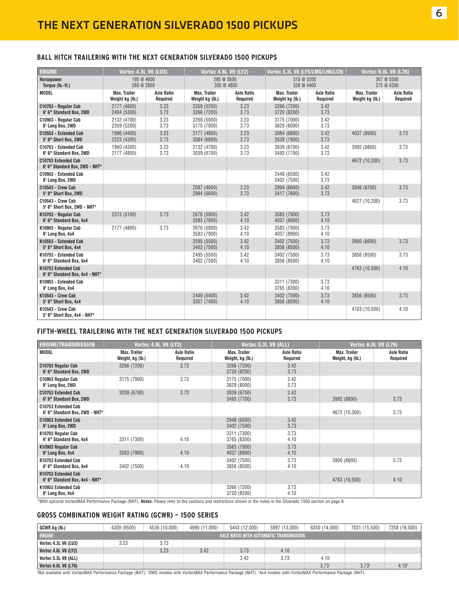#### **BALL HITCH TRAILERING WITH THE NEXT GENERATION SILVERADO 1500 PICKUPS**

| <b>ENGINE</b>                                         | Vortec 4.3L V6 (LU3)                   |                               | <b>Vortec 4.8L V8 (LY2)</b>            |                               | Vortec 5.3L V8 (LY5/LMG/LH6/LC9) $\frac{1}{2}$ |                               | <b>Vortec 6.0L V8 (L76)</b>            |                               |  |
|-------------------------------------------------------|----------------------------------------|-------------------------------|----------------------------------------|-------------------------------|------------------------------------------------|-------------------------------|----------------------------------------|-------------------------------|--|
| Horsepower<br>Torque (lb.-ft.)                        | 195 @ 4600<br>260 @ 2800               |                               | 295 @ 5600<br>305 @ 4800               |                               | 315 @ 5200<br>338 @ 4400                       |                               |                                        | 367 @ 5500<br>375 @ 4300      |  |
| <b>MODEL</b>                                          | <b>Max. Trailer</b><br>Weight kg (lb.) | <b>Axle Ratio</b><br>Required | <b>Max. Trailer</b><br>Weight kg (lb.) | <b>Axle Ratio</b><br>Required | <b>Max. Trailer</b><br>Weight kg (lb.)         | <b>Axle Ratio</b><br>Required | <b>Max. Trailer</b><br>Weight kg (lb.) | <b>Axle Ratio</b><br>Required |  |
| C10703 - Regular Cab<br>6' 6" Standard Box, 2WD       | 2177 (4800)<br>2404 (5300)             | 3.23<br>3.73                  | 2359 (5200)<br>3266 (7200)             | 3.23<br>3.73                  | 3266 (7200)<br>3720 (8200)                     | 3.42<br>3.73                  |                                        |                               |  |
| C10903 - Regular Cab<br>8' Long Box, 2WD              | 2132 (4700)<br>2359 (5200)             | 3.23<br>3.73                  | 2268 (5000)<br>3175 (7000)             | 3.23<br>3.73                  | 3175 (7000)<br>3629 (8000)                     | 3.42<br>3.73                  |                                        |                               |  |
| C10553 - Extended Cab<br>5' 8" Short Box, 2WD         | 1996 (4400)<br>2223 (4300)             | 3.23<br>3.73                  | 2177 (4800)<br>3084 (6800)             | 3.23<br>3.73                  | 3084 (6800)<br>3538 (7800)                     | 3.42<br>3.73                  | 4037 (8900)                            | 3.73                          |  |
| C10753 - Extended Cab<br>6' 6" Standard Box, 2WD      | 1950 (4300)<br>2177 (4800)             | 3.23<br>3.73                  | 2132 (4700)<br>3039 (6700)             | 3.23<br>3.73                  | 3039 (6700)<br>3493 (7700)                     | 3.42<br>3.73                  | 3992 (8800)                            | 3.73                          |  |
| C10753 Extended Cab<br>6' 6" Standard Box, 2WD - NHT* |                                        |                               |                                        |                               |                                                |                               | 4672 (10,300)                          | 3.73                          |  |
| C10953 - Extended Cab<br>8' Long Box, 2WD             |                                        |                               |                                        |                               | 2448 (6500)<br>3402 (7500)                     | 3.42<br>3.73                  |                                        |                               |  |
| <b>C10543 - Crew Cab</b><br>5' 8" Short Box, 2WD      |                                        |                               | 2087 (4600)<br>2994 (6600)             | 3.23<br>3.73                  | 2994 (6600)<br>3417 (7600)                     | 3.42<br>3.73                  | 3946 (8700)                            | 3.73                          |  |
| C10543 - Crew Cab<br>5' 8" Short Box, 2WD - NHT*      |                                        |                               |                                        |                               |                                                |                               | 4627 (10,200)                          | 3.73                          |  |
| K10703 - Regular Cab<br>6' 6" Standard Box, 4x4       | 2313 (5100)                            | 3.73                          | 2676 (5900)<br>3583 (7900)             | 3.42<br>4.10                  | 3583 (7900)<br>4037 (8900)                     | 3.73<br>4.10                  |                                        |                               |  |
| K10903 - Regular Cab<br>8' Long Box, 4x4              | 2177 (4800)                            | 3.73                          | 2676 (5900)<br>3583 (7900)             | 3.42<br>4.10                  | 3583 (7900)<br>4037 (8900)                     | 3.73<br>4.10                  |                                        |                               |  |
| K10553 - Extended Cab<br>5' 8" Short Box, 4x4         |                                        |                               | 2595 (5500)<br>3402 (7500)             | 3.42<br>4.10                  | 3402 (7500)<br>3856 (8500)                     | 3.73<br>4.10                  | 3900 (8600)                            | 3.73                          |  |
| K10753 - Extended Cab<br>6' 6" Standard Box, 4x4      |                                        |                               | 2495 (5500)<br>3402 (7500)             | 3.42<br>4.10                  | 3402 (7500)<br>3856 (8500)                     | 3.73<br>4.10                  | 3856 (8500)                            | 3.73                          |  |
| K10753 Extended Cab<br>6' 6" Standard Box, 4x4 - NHT* |                                        |                               |                                        |                               |                                                |                               | 4763 (10,500)                          | 4.10                          |  |
| K10953 - Extended Cab<br>8' Long Box, 4x4             |                                        |                               |                                        |                               | 3311 (7300)<br>3765 (8300)                     | 3.73<br>4.10                  |                                        |                               |  |
| K10543 - Crew Cab<br>5' 8" Short Box, 4x4             |                                        |                               | 2449 (5400)<br>3357 (7400)             | 3.42<br>4.10                  | 3402 (7500)<br>3856 (8500)                     | 3.73<br>4.10                  | 3856 (8500)                            | 3.73                          |  |
| K10543 - Crew Cab<br>5' 8" Short Box, 4x4 - NHT*      |                                        |                               |                                        |                               |                                                |                               | 4763 (10,500)                          | 4.10                          |  |

### **FIFTH-WHEEL TRAILERING WITH THE NEXT GENERATION SILVERADO 1500 PICKUPS**

| <b>ENGINE/TRANSMISSION</b>                             | <b>Vortec 4.8L V8 (LY2)</b>             |                        | Vortec 5.3L V8 (ALL)                    |                               |                                         | <b>Vortec 6.0L V8 (L76)</b> |
|--------------------------------------------------------|-----------------------------------------|------------------------|-----------------------------------------|-------------------------------|-----------------------------------------|-----------------------------|
| <b>MODEL</b>                                           | <b>Max. Trailer</b><br>Weight, kg (lb.) | Axle Ratio<br>Required | <b>Max. Trailer</b><br>Weight, kg (lb.) | <b>Axle Ratio</b><br>Required | <b>Max. Trailer</b><br>Weight, kg (lb.) | Axle Ratio<br>Required      |
| C10703 Regular Cab<br>6' 6" Standard Box, 2WD          | 3266 (7200)                             | 3.73                   | 3266 (7200)<br>3720 (8200)              | 3.42<br>3.73                  |                                         |                             |
| C10903 Regular Cab<br>8' Long Box, 2WD                 | 3175 (7000)                             | 3.73                   | 3175 (7000)<br>3629 (8000)              | 3.42<br>3.73                  |                                         |                             |
| C10753 Extended Cab<br>6' 6" Standard Box, 2WD         | 3039 (6700)                             | 3.73                   | 3039 (6700)<br>3493 (7700)              | 3.42<br>3.73                  | 3992 (8800)                             | 3.73                        |
| C10753 Extended Cab<br>6' 6" Standard Box, 2WD - NHT*: |                                         |                        |                                         |                               | 4672 (10,300)                           | 3.73                        |
| C10953 Extended Cab<br>8' Long Box, 2WD                |                                         |                        | 2948 (6500)<br>3402 (7500)              | 3.42<br>3.73                  |                                         |                             |
| K10703 Regular Cab<br>6' 6" Standard Box, 4x4          | 3311 (7300)                             | 4.10                   | 3311 (7300)<br>3765 (8300)              | 3.73<br>4.10                  |                                         |                             |
| K10903 Regular Cab<br>8' Long Box, 4x4                 | 3583 (7900)                             | 4.10                   | 3583 (7900)<br>4037 (8900)              | 3.73<br>4.10                  |                                         |                             |
| K10753 Extended Cab<br>6' 6" Standard Box, 4x4         | 3402 (7500)                             | 4.10                   | 3402 (7500)<br>3856 (8500)              | 3.73<br>4.10                  | 3900 (8600)                             | 3.73                        |
| K10753 Extended Cab<br>6' 6" Standard Box, 4x4 - NHT*  |                                         |                        |                                         |                               | 4763 (10,500)                           | 4.10                        |
| K10953 Extended Cab<br>8' Long Box, 4x4                |                                         |                        | 3266 (7200)<br>3720 (8200)              | 3.73<br>4.10                  |                                         |                             |

\*With optional VortecMAX Performance Package (NHT). **Notes:** Please refer to the cautions and restrictions shown in the notes in the Silverado 1500 section on page 8.

### **GROSS COMBINATION WEIGHT RATING (GCWR) – 1500 SERIES**

| GCWR kg (lb.)               | 4309 (9500) | 4536 (10.000) | 4990 (11.000) | 5443 (12.000) | 5897 (13.000)                          | 6350 (14.000)     | 7031 (15.500)     | 7258 (16,000)     |
|-----------------------------|-------------|---------------|---------------|---------------|----------------------------------------|-------------------|-------------------|-------------------|
| <b>ENGINE</b>               |             |               |               |               | AXLE RATIO WITH AUTOMATIC TRANSMISSION |                   |                   |                   |
| <b>Vortec 4.3L V6 (LU3)</b> | 3.23        | 3.73          |               |               |                                        |                   |                   |                   |
| <b>Vortec 4.8L V8 (LY2)</b> |             | 3.23          | 3.42          | 3.73          | 4.10                                   |                   |                   |                   |
| Vortec 5.3L V8 (ALL)        |             |               |               | 3.42          | 3.73                                   | 4.10              |                   |                   |
| <b>Vortec 6.0L V8 (L76)</b> |             |               |               |               |                                        | 3.73 <sup>1</sup> | 3.73 <sup>2</sup> | 4.10 <sup>3</sup> |

'Not available with VortecMAX Performance Package (NHT). <sup>2</sup>2WD models with VortecMAX Performance Package (NHT). <sup>3</sup>4x4 models with VortecMAX Performance Package (NHT).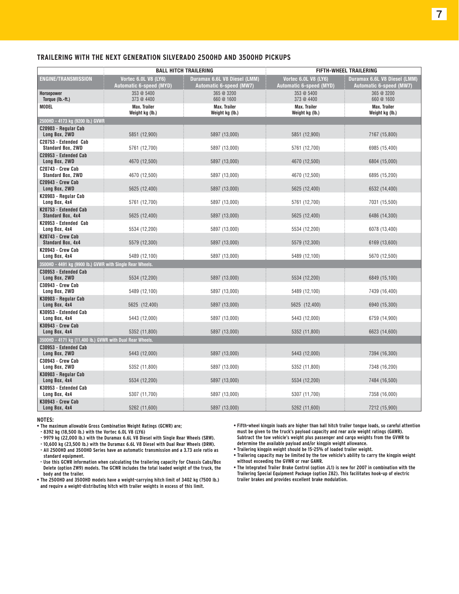#### **TRAILERING WITH THE NEXT GENERATION SILVERADO 2500HD AND 3500HD PICKUPS**

|                                                           |                                        | <b>BALL HITCH TRAILERING</b>           |                                        | FIFTH-WHEEL TRAILERING          |
|-----------------------------------------------------------|----------------------------------------|----------------------------------------|----------------------------------------|---------------------------------|
| <b>ENGINE/TRANSMISSION</b>                                | Vortec 6.0L V8 (LY6)                   | Duramax 6.6L V8 Diesel (LMM)           | Vortec 6.0L V8 (LY6)                   | Duramax 6.6L V8 Diesel (LMM)    |
|                                                           | <b>Automatic 6-speed (MYD)</b>         | Automatic 6-speed (MW7)                | <b>Automatic 6-speed (MYD)</b>         | Automatic 6-speed (MW7)         |
| Horsepower<br>Torque (lb.-ft.)                            | 353 @ 5400<br>373 @ 4400               | 365 @ 3200<br>660 @ 1600               | 353 @ 5400<br>373 @ 4400               | 365 @ 3200<br>660 @ 1600        |
| MODEL                                                     | <b>Max. Trailer</b><br>Weight kg (lb.) | <b>Max. Trailer</b><br>Weight kg (lb.) | <b>Max. Trailer</b><br>Weight kg (lb.) | Max. Trailer<br>Weight kg (lb.) |
| 2500HD - 4173 kg (9200 lb.) GVWR                          |                                        |                                        |                                        |                                 |
| C20903 - Regular Cab<br>Long Box, 2WD                     | 5851 (12,900)                          | 5897 (13,000)                          | 5851 (12,900)                          | 7167 (15,800)                   |
| C20753 - Extended Cab<br><b>Standard Box, 2WD</b>         | 5761 (12,700)                          | 5897 (13,000)                          | 5761 (12,700)                          | 6985 (15,400)                   |
| C20953 - Extended Cab<br>Long Box, 2WD                    | 4670 (12,500)                          | 5897 (13,000)                          | 4670 (12,500)                          | 6804 (15,000)                   |
| C20743 - Crew Cab<br><b>Standard Box, 2WD</b>             | 4670 (12,500)                          | 5897 (13,000)                          | 4670 (12,500)                          | 6895 (15,200)                   |
| <b>C20943 - Crew Cab</b><br>Long Box, 2WD                 | 5625 (12,400)                          | 5897 (13,000)                          | 5625 (12,400)                          | 6532 (14,400)                   |
| K20903 - Regular Cab<br>Long Box, 4x4                     | 5761 (12,700)                          | 5897 (13,000)                          | 5761 (12,700)                          | 7031 (15,500)                   |
| K20753 - Extended Cab<br><b>Standard Box, 4x4</b>         | 5625 (12,400)                          | 5897 (13,000)                          | 5625 (12,400)                          | 6486 (14,300)                   |
| K20953 - Extended Cab<br>Long Box, 4x4                    | 5534 (12,200)                          | 5897 (13,000)                          | 5534 (12,200)                          | 6078 (13,400)                   |
| K20743 - Crew Cab<br><b>Standard Box, 4x4</b>             | 5579 (12,300)                          | 5897 (13,000)                          | 5579 (12,300)                          | 6169 (13,600)                   |
| K20943 - Crew Cab<br>Long Box, 4x4                        | 5489 (12,100)                          | 5897 (13,000)                          | 5489 (12,100)                          | 5670 (12,500)                   |
| 3500HD - 4491 kg (9900 lb.) GVWR with Single Rear Wheels. |                                        |                                        |                                        |                                 |
| C30953 - Extended Cab<br>Long Box, 2WD                    | 5534 (12,200)                          | 5897 (13,000)                          | 5534 (12,200)                          | 6849 (15,100)                   |
| C30943 - Crew Cab<br>Long Box, 2WD                        | 5489 (12,100)                          | 5897 (13,000)                          | 5489 (12,100)                          | 7439 (16,400)                   |
| K30903 - Regular Cab<br>Long Box, 4x4                     | 5625 (12,400)                          | 5897 (13,000)                          | 5625 (12,400)                          | 6940 (15,300)                   |
| K30953 - Extended Cab<br>Long Box, 4x4                    | 5443 (12,000)                          | 5897 (13,000)                          | 5443 (12,000)                          | 6759 (14,900)                   |
| K30943 - Crew Cab<br>Long Box, 4x4                        | 5352 (11,800)                          | 5897 (13,000)                          | 5352 (11,800)                          | 6623 (14,600)                   |
| 3500HD - 4171 kg (11,400 lb.) GVWR with Dual Rear Wheels. |                                        |                                        |                                        |                                 |
| C30953 - Extended Cab<br>Long Box, 2WD                    | 5443 (12,000)                          | 5897 (13,000)                          | 5443 (12,000)                          | 7394 (16,300)                   |
| C30943 - Crew Cab<br>Long Box, 2WD                        | 5352 (11,800)                          | 5897 (13,000)                          | 5352 (11,800)                          | 7348 (16,200)                   |
| K30903 - Regular Cab<br>Long Box, 4x4                     | 5534 (12,200)                          | 5897 (13,000)                          | 5534 (12,200)                          | 7484 (16,500)                   |
| K30953 - Extended Cab<br>Long Box, 4x4                    | 5307 (11,700)                          | 5897 (13,000)                          | 5307 (11,700)                          | 7358 (16,000)                   |
| K30943 - Crew Cab<br>Long Box, 4x4                        | 5262 (11,600)                          | 5897 (13,000)                          | 5262 (11,600)                          | 7212 (15,900)                   |

#### **NOTES:**

**• The maximum allowable Gross Combination Weight Ratings (GCWR) are;** 

**- 8392 kg (18,500 lb.) with the Vortec 6.0L V8 (LY6)**

- **9979 kg (22,000 lb.) with the Duramax 6.6L V8 Diesel with Single Rear Wheels (SRW).**
- **10,600 kg (23,500 lb.) with the Duramax 6.6L V8 Diesel with Dual Rear Wheels (DRW).**

**- All 2500HD and 3500HD Series have an automatic transmission and a 3.73 axle ratio as standard equipment.**

- **Use this GCWR information when calculating the trailering capacity for Chassis Cabs/Box Delete (option ZW9) models. The GCWR includes the total loaded weight of the truck, the body and the trailer.**
- **The 2500HD and 3500HD models have a weight-carrying hitch limit of 3402 kg (7500 lb.) and require a weight-distributing hitch with trailer weights in excess of this limit.**
- **Fifth-wheel kingpin loads are higher than ball hitch trailer tongue loads, so careful attention must be given to the truck's payload capacity and rear axle weight ratings (GAWR). Subtract the tow vehicle's weight plus passenger and cargo weights from the GVWR to determine the available payload and/or kingpin weight allowance.**
- **Trailering kingpin weight should be 15-25% of loaded trailer weight.**
- **Trailering capacity may be limited by the tow vehicle's ability to carry the kingpin weight without exceeding the GVWR or rear GAWR.**
- **The Integrated Trailer Brake Control (option JL1) is new for 2007 in combination with the Trailering Special Equipment Package (option Z82). This facilitates hook-up of electric trailer brakes and provides excellent brake modulation.**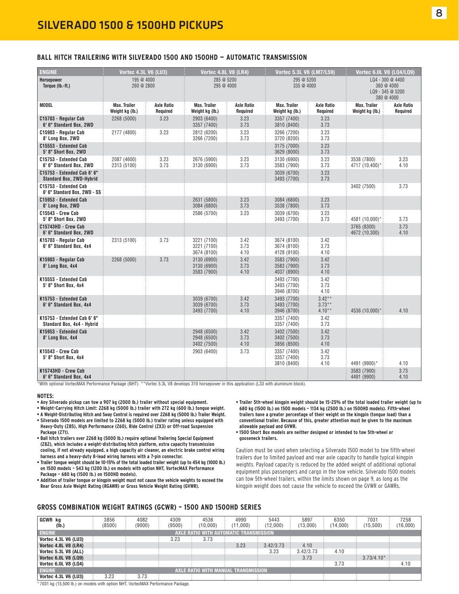#### **BALL HITCH TRAILERING WITH SILVERADO 1500 AND 1500HD — AUTOMATIC TRANSMISSION**

| <b>ENGINE</b>                                                  | <b>Vortec 4.3L V6 (LU3)</b>            |                               | Vortec 4.8L V8 (LR4)                      |                               | Vortec 5.3L V8 (LM7/L59)                  |                                  |                                        | Vortec 6.0L V8 (LQ4/LQ9)                                         |
|----------------------------------------------------------------|----------------------------------------|-------------------------------|-------------------------------------------|-------------------------------|-------------------------------------------|----------------------------------|----------------------------------------|------------------------------------------------------------------|
| Horsepower<br>Torque (lb.-ft.)                                 | 195 @ 4000<br>260 @ 2800               |                               | 285 @ 5200<br>295 @ 4000                  |                               | 295 @ 5200<br>335 @ 4000                  |                                  |                                        | LQ4 - 300 @ 4400<br>360 @ 4000<br>LQ9 - 345 @ 5200<br>380 @ 4000 |
| <b>MODEL</b>                                                   | <b>Max. Trailer</b><br>Weight kg (lb.) | <b>Axle Ratio</b><br>Required | Max. Trailer<br>Weight kg (lb.)           | <b>Axle Ratio</b><br>Required | <b>Max. Trailer</b><br>Weight kg (lb.)    | <b>Axle Ratio</b><br>Required    | <b>Max. Trailer</b><br>Weight kg (lb.) | <b>Axle Ratio</b><br>Required                                    |
| C15703 - Regular Cab<br>6' 6" Standard Box, 2WD                | 2268 (5000)                            | 3.23                          | 2903 (6400)<br>3357 (7400)                | 3.23<br>3.73                  | 3357 (7400)<br>3810 (8400)                | 3.23<br>3.73                     |                                        |                                                                  |
| C15903 - Regular Cab<br>8' Long Box, 2WD                       | 2177 (4800)                            | 3.23                          | 2812 (6200)<br>3266 (7200)                | 3.23<br>3.73                  | 3266 (7200)<br>3720 (8200)                | 3.23<br>3.73                     |                                        |                                                                  |
| C15553 - Extended Cab<br>5' 8" Short Box, 2WD                  |                                        |                               |                                           |                               | 3175 (7000)<br>3629 (8000)                | 3.23<br>3.73                     |                                        |                                                                  |
| C15753 - Extended Cab<br>6' 6" Standard Box, 2WD               | 2087 (4600)<br>2313 (5100)             | 3.23<br>3.73                  | 2676 (5900)<br>3130 (6900)                | 3.23<br>3.73                  | 3130 (6900)<br>3583 (7900)                | 3.23<br>3.73                     | 3538 (7800)<br>4717 (10,400)*          | 3.23<br>4.10                                                     |
| C15753 - Extended Cab 6' 6"<br><b>Standard Box, 2WD-Hybrid</b> |                                        |                               |                                           |                               | 3039 (6700)<br>3493 (7700)                | 3.23<br>3.73                     |                                        |                                                                  |
| C15753 - Extended Cab<br>6' 6" Standard Box, 2WD - SS          |                                        |                               |                                           |                               |                                           |                                  | 3402 (7500)                            | 3.73                                                             |
| C15953 - Extended Cab<br>8' Long Box, 2WD                      |                                        |                               | 2631 (5800)<br>3084 (6800)                | 3.23<br>3.73                  | 3084 (6800)<br>3538 (7800)                | 3.23<br>3.73                     |                                        |                                                                  |
| C15543 - Crew Cab<br>5' 8" Short Box, 2WD                      |                                        |                               | 2586 (5700)                               | 3.23                          | 3039 (6700)<br>3493 (7700)                | 3.23<br>3.73                     | 4581 (10,000)*                         | 3.73                                                             |
| C15743HD - Crew Cab<br>6' 6" Standard Box, 2WD                 |                                        |                               |                                           |                               |                                           |                                  | 3765 (8300)<br>4672 (10,300)           | 3.73<br>4.10                                                     |
| K15703 - Regular Cab<br>6' 6" Standard Box, 4x4                | 2313 (5100)                            | 3.73                          | 3221 (7100)<br>3221 (7100)<br>3674 (8100) | 3.42<br>3.73<br>4.10          | 3674 (8100)<br>3674 (8100)<br>4128 (9100) | 3.42<br>3.73<br>4.10             |                                        |                                                                  |
| K15903 - Regular Cab<br>8' Long Box, 4x4                       | 2268 (5000)                            | 3.73                          | 3130 (6900)<br>3130 (6900)<br>3583 (7900) | 3.42<br>3.73<br>4.10          | 3583 (7900)<br>3583 (7900)<br>4037 (8900) | 3.42<br>3.73<br>4.10             |                                        |                                                                  |
| K15553 - Extended Cab<br>5' 8" Short Box, 4x4                  |                                        |                               |                                           |                               | 3493 (7700)<br>3493 (7700)<br>3946 (8700) | 3.42<br>3.73<br>4.10             |                                        |                                                                  |
| K15753 - Extended Cab<br>6' 6" Standard Box, 4x4               |                                        |                               | 3039 (6700)<br>3039 (6700)<br>3493 (7700) | 3.42<br>3.73<br>4.10          | 3493 (7700)<br>3493 (7700)<br>3946 (8700) | $3.42**$<br>$3.73**$<br>$4.10**$ | 4536 (10,000)*                         | 4.10                                                             |
| K15753 - Extended Cab 6' 6"<br>Standard Box, 4x4 - Hybrid      |                                        |                               |                                           |                               | 3357 (7400)<br>3357 (7400)                | 3.42<br>3.73                     |                                        |                                                                  |
| K15953 - Extended Cab<br>8' Long Box, 4x4                      |                                        |                               | 2948 (6500)<br>2948 (6500)<br>3402 (7500) | 3.42<br>3.73<br>4.10          | 3402 (7500)<br>3402 (7500)<br>3856 (8500) | 3.42<br>3.73<br>4.10             |                                        |                                                                  |
| K15543 - Crew Cab<br>5' 8" Short Box, 4x4                      |                                        |                               | 2903 (6400)                               | 3.73                          | 3357 (7400)<br>3357 (7400)<br>3810 (8400) | 3.42<br>3.73<br>4.10             | 4491 (9900)*                           | 4.10                                                             |
| K15743HD - Crew Cab<br>6' 6" Standard Box, 4x4                 |                                        |                               |                                           |                               |                                           |                                  | 3583 (7900)<br>4491 (9900)             | 3.73<br>4.10                                                     |

\*With optional VortecMAX Performance Package (NHT). \*\*Vortec 5.3L V8 develops 310 horsepower in this application (L33 with aluminum block).

#### **NOTES:**

- **Any Silverado pickup can tow a 907 kg (2000 lb.) trailer without special equipment.**
- **Weight-Carrying Hitch Limit: 2268 kg (5000 lb.) trailer with 272 kg (600 lb.) tongue weight. • A Weight-Distributing Hitch and Sway Control is required over 2268 kg (5000 lb.) Trailer Weight.**
- **Silverado 1500 models are limited to 2268 kg (5000 lb.) trailer rating unless equipped with Heavy-Duty (Z85), High Performance (Z60), Ride Control (ZX3) or Off-road Suspension Package (Z71).**
- **Ball hitch trailers over 2268 kg (5000 lb.) require optional Trailering Special Equipment (Z82), which includes a weight-distributing hitch platform, extra capacity transmission cooling, if not already equipped, a high capacity air cleaner, an electric brake control wiring harness and a heavy-duty 8-lead wiring harness with a 7-pin connector.**
- **Trailer tongue weight should be 10-15% of the total loaded trailer weight (up to 454 kg (1000 lb.) on 1500 models – 543 kg (1200 lb.) on models with option NHT, VortecMAX Performance Package – 680 kg (1500 lb.) on 1500HD models).**
- **Addition of trailer tongue or kingpin weight must not cause the vehicle weights to exceed the Rear Gross Axle Weight Rating (RGAWR) or Gross Vehicle Weight Rating (GVWR).**
- **Trailer 5th-wheel kingpin weight should be 15-25% of the total loaded trailer weight (up to 680 kg (1500 lb.) on 1500 models – 1134 kg (2500 lb.) on 1500HD models). Fifth-wheel trailers have a greater percentage of their weight on the kingpin (tongue load) than a conventional trailer. Because of this, greater attention must be given to the maximum allowable payload and GVWR.**
- **1500 Short Box models are neither designed or intended to tow 5th-wheel or gooseneck trailers.**

Caution must be used when selecting a Silverado 1500 model to tow fifth-wheel trailers due to limited payload and rear axle capacity to handle typical kingpin weights. Payload capacity is reduced by the added weight of additional optional equipment plus passengers and cargo in the tow vehicle. Silverado 1500 models can tow 5th-wheel trailers, within the limits shown on page 9, as long as the kingpin weight does not cause the vehicle to exceed the GVWR or GAWRs.

#### **GROSS COMBINATION WEIGHT RATINGS (GCWR) – 1500 AND 1500HD SERIES**

| <b>GCWR</b> ka<br>(Ib.)                                 |                                     | 3856<br>(8500) |  | 4082<br>(9000) |  | 4309<br>(9500) |  | 4536<br>(10,000) |  | 4990<br>(11,000) |  | 5443<br>(12.000) | 5897<br>(13,000) | 6350<br>(14,000) | 7031<br>(15, 500) | 7258<br>(16,000) |
|---------------------------------------------------------|-------------------------------------|----------------|--|----------------|--|----------------|--|------------------|--|------------------|--|------------------|------------------|------------------|-------------------|------------------|
| <b>ENGINE</b><br>AXLE RATIO WITH AUTOMATIC TRANSMISSION |                                     |                |  |                |  |                |  |                  |  |                  |  |                  |                  |                  |                   |                  |
| Vortec 4.3L V6 (LU3)                                    |                                     |                |  |                |  | 3.23           |  | 3.73             |  |                  |  |                  |                  |                  |                   |                  |
| <b>Vortec 4.8L V8 (LR4)</b>                             |                                     |                |  |                |  |                |  |                  |  | 3.23             |  | 3.42/3.73        | 4.10             |                  |                   |                  |
| Vortec 5.3L V8 (ALL)                                    |                                     |                |  |                |  |                |  |                  |  |                  |  | 3.23             | 3.42/3.73        | 4.10             |                   |                  |
| <b>Vortec 6.0L V8 (LQ9)</b>                             |                                     |                |  |                |  |                |  |                  |  |                  |  |                  | 3.73             |                  | $3.73/4.10*$      |                  |
| <b>Vortec 6.0L V8 (LQ4)</b>                             |                                     |                |  |                |  |                |  |                  |  |                  |  |                  |                  | 3.73             |                   | 4.10             |
| <b>ENGINE</b>                                           | AXLE RATIO WITH MANUAL TRANSMISSION |                |  |                |  |                |  |                  |  |                  |  |                  |                  |                  |                   |                  |
| Vortec 4.3L V6 (LU3)                                    |                                     | 3.23           |  | 3.73           |  |                |  |                  |  |                  |  |                  |                  |                  |                   |                  |

7031 kg (15,500 lb.) on models with option NHT, VortecMAX Performance Package.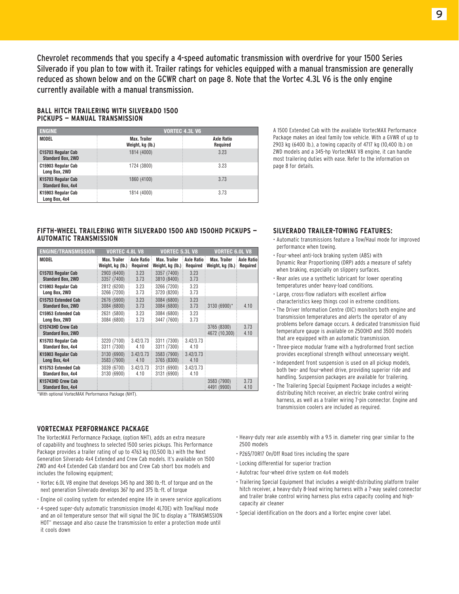Chevrolet recommends that you specify a 4-speed automatic transmission with overdrive for your 1500 Series Silverado if you plan to tow with it. Trailer ratings for vehicles equipped with a manual transmission are generally reduced as shown below and on the GCWR chart on page 8. Note that the Vortec 4.3L V6 is the only engine currently available with a manual transmission.

#### **BALL HITCH TRAILERING WITH SILVERADO 1500 PICKUPS — MANUAL TRANSMISSION**

| <b>ENGINE</b>                                  | <b>VORTEC 4.3L V6</b>            |                               |
|------------------------------------------------|----------------------------------|-------------------------------|
| <b>MODEL</b>                                   | Max. Trailer<br>Weight, kg (lb.) | <b>Axle Ratio</b><br>Required |
| C15703 Regular Cab<br><b>Standard Box, 2WD</b> | 1814 (4000)                      | 3.23                          |
| C15903 Regular Cab<br>Long Box, 2WD            | 1724 (3800)                      | 3.23                          |
| K15703 Regular Cab<br><b>Standard Box, 4x4</b> | 1860 (4100)                      | 3.73                          |
| K15903 Regular Cab<br>Long Box, 4x4            | 1814 (4000)                      | 3.73                          |

A 1500 Extended Cab with the available VortecMAX Performance Package makes an ideal family tow vehicle. With a GVWR of up to 2903 kg (6400 lb.), a towing capacity of 4717 kg (10,400 lb.) on 2WD models and a 345-hp VortecMAX V8 engine, it can handle most trailering duties with ease. Refer to the information on page 8 for details.

#### **FIFTH-WHEEL TRAILERING WITH SILVERADO 1500 AND 1500HD PICKUPS — AUTOMATIC TRANSMISSION**

| ENGINE/TRANSMISSION                             | <b>VORTEC 4.8L V8</b>              |                                | <b>VORTEC 5.3L V8</b>                                        |                    | <b>VORTEC 6.0L V8</b>                               |                               |
|-------------------------------------------------|------------------------------------|--------------------------------|--------------------------------------------------------------|--------------------|-----------------------------------------------------|-------------------------------|
| <b>MODEL</b>                                    | Max. Trailer<br>Weight, kg (lb.) : | <b>Axle Ratio:</b><br>Required | Max. Trailer<br>$\frac{1}{2}$ Weight, kg (lb.) $\frac{1}{2}$ | <b>Axle Ratio:</b> | Max. Trailer<br><b>Required : Weight, kg (lb.):</b> | <b>Axle Ratio</b><br>Required |
| C15703 Regular Cab<br><b>Standard Box, 2WD</b>  | 2903 (6400)<br>3357 (7400)         | 3.23<br>3.73                   | 3357 (7400)<br>3810 (8400)                                   | 3.23<br>3.73       |                                                     |                               |
| C15903 Regular Cab<br>Long Box, 2WD             | 2812 (6200)<br>3266 (7200)         | 3.23<br>3.73                   | 3266 (7200)<br>3720 (8200)                                   | 3.23<br>3.73       |                                                     |                               |
| C15753 Extended Cab<br><b>Standard Box, 2WD</b> | 2676 (5900)<br>3084 (6800)         | 3.23<br>3.73                   | 3084 (6800)<br>3084 (6800)                                   | 3.23<br>3.73       | 3130 (6900)*                                        | 4.10                          |
| C15953 Extended Cab<br>Long Box, 2WD            | 2631 (5800)<br>3084 (6800)         | 3.23<br>3.73                   | 3084 (6800)<br>3447 (7600)                                   | 3.23<br>3.73       |                                                     |                               |
| C15743HD Crew Cab<br><b>Standard Box, 2WD</b>   |                                    |                                |                                                              |                    | 3765 (8300)<br>4672 (10,300)                        | 3.73<br>4.10                  |
| K15703 Regular Cab<br><b>Standard Box, 4x4</b>  | 3220 (7100)<br>3311 (7300)         | 3.42/3.73<br>4.10              | 3311 (7300)<br>3311 (7300)                                   | 3.42/3.73<br>4.10  |                                                     |                               |
| K15903 Regular Cab<br>Long Box, 4x4             | 3130 (6900)<br>3583 (7900)         | 3.42/3.73<br>4.10              | 3583 (7900)<br>3765 (8300)                                   | 3.42/3.73<br>4.10  |                                                     |                               |
| K15753 Extended Cab<br><b>Standard Box, 4x4</b> | 3039 (6700)<br>3130 (6900)         | 3.42/3.73<br>4.10              | 3131 (6900)<br>3131 (6900)                                   | 3.42/3.73<br>4.10  |                                                     |                               |
| K15743HD Crew Cab<br><b>Standard Box, 4x4</b>   |                                    |                                |                                                              |                    | 3583 (7900)<br>4491 (9900)                          | 3.73<br>4.10                  |

\*With optional VortecMAX Performance Package (NHT).

#### **VORTECMAX PERFORMANCE PACKAGE**

The VortecMAX Performance Package, (option NHT), adds an extra measure of capability and toughness to selected 1500 series pickups. This Performance Package provides a trailer rating of up to 4763 kg (10,500 lb.) with the Next Generation Silverado 4x4 Extended and Crew Cab models. It's available on 1500 2WD and 4x4 Extended Cab standard box and Crew Cab short box models and includes the following equipment;

- Vortec 6.0L V8 engine that develops 345 hp and 380 lb.-ft. of torque and on the next generation Silverado develops 367 hp and 375 lb.-ft. of torque
- Engine oil cooling system for extended engine life in severe service applications
- 4-speed super-duty automatic transmission (model 4L70E) with Tow/Haul mode and an oil temperature sensor that will signal the DIC to display a "TRANSMISSION HOT" message and also cause the transmission to enter a protection mode until it cools down

#### **SILVERADO TRAILER-TOWING FEATURES:**

- Automatic transmissions feature a Tow/Haul mode for improved performance when towing.
- Four-wheel anti-lock braking system (ABS) with Dynamic Rear Proportioning (DRP) adds a measure of safety when braking, especially on slippery surfaces.
- Rear axles use a synthetic lubricant for lower operating temperatures under heavy-load conditions.
- Large, cross-flow radiators with excellent airflow characteristics keep things cool in extreme conditions.
- The Driver Information Centre (DIC) monitors both engine and transmission temperatures and alerts the operator of any problems before damage occurs. A dedicated transmission fluid temperature gauge is available on 2500HD and 3500 models that are equipped with an automatic transmission.
- Three-piece modular frame with a hydroformed front section provides exceptional strength without unnecessary weight.
- Independent front suspension is used on all pickup models, both two- and four-wheel drive, providing superior ride and handling. Suspension packages are available for trailering.
- The Trailering Special Equipment Package includes a weightdistributing hitch receiver, an electric brake control wiring harness, as well as a trailer wiring 7-pin connector. Engine and transmission coolers are included as required.
- Heavy-duty rear axle assembly with a 9.5 in. diameter ring gear similar to the 2500 models
- P265/70R17 On/Off Road tires including the spare
- Locking differential for superior traction
- Autotrac four-wheel drive system on 4x4 models
- Trailering Special Equipment that includes a weight-distributing platform trailer hitch receiver, a heavy-duty 8-lead wiring harness with a 7-way sealed connector and trailer brake control wiring harness plus extra capacity cooling and highcapacity air cleaner
- Special identification on the doors and a Vortec engine cover label.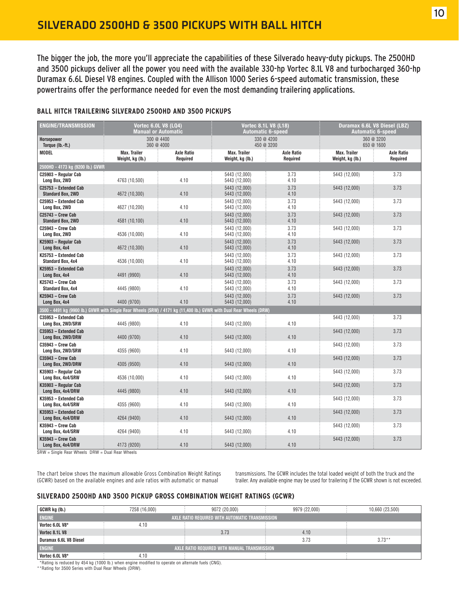The bigger the job, the more you'll appreciate the capabilities of these Silverado heavy-duty pickups. The 2500HD and 3500 pickups deliver all the power you need with the available 330-hp Vortec 8.1L V8 and turbocharged 360-hp Duramax 6.6L Diesel V8 engines. Coupled with the Allison 1000 Series 6-speed automatic transmission, these powertrains offer the performance needed for even the most demanding trailering applications.

|  | <b>BALL HITCH TRAILERING SILVERADO 2500HD AND 3500 PICKUPS</b> |  |  |  |
|--|----------------------------------------------------------------|--|--|--|
|  |                                                                |  |  |  |

| <b>ENGINE/TRANSMISSION</b>                                                                                           | <b>Vortec 6.0L V8 (LQ4)</b><br><b>Manual or Automatic</b> |                               | <b>Vortec 8.1L V8 (L18)</b>      | <b>Automatic 6-speed</b>      | Duramax 6.6L V8 Diesel (LBZ)<br><b>Automatic 6-speed</b> |                               |  |  |  |  |
|----------------------------------------------------------------------------------------------------------------------|-----------------------------------------------------------|-------------------------------|----------------------------------|-------------------------------|----------------------------------------------------------|-------------------------------|--|--|--|--|
| Horsepower<br>Torque (lb.-ft.)                                                                                       |                                                           | 300 @ 4400<br>360 @ 4000      |                                  | 330 @ 4200<br>450 @ 3200      |                                                          | 360 @ 3200<br>650 @ 1600      |  |  |  |  |
| <b>MODEL</b>                                                                                                         | Max. Trailer<br>Weight, kg (lb.)                          | <b>Axle Ratio</b><br>Required | Max. Trailer<br>Weight, kg (lb.) | <b>Axle Ratio</b><br>Required | Max. Trailer<br>Weight, kg (lb.)                         | <b>Axle Ratio</b><br>Required |  |  |  |  |
| 2500HD - 4173 kg (9200 lb.) GVWR                                                                                     |                                                           |                               |                                  |                               |                                                          |                               |  |  |  |  |
| C25903 - Regular Cab<br>Long Box, 2WD                                                                                | 4763 (10,500)                                             | 4.10                          | 5443 (12,000)<br>5443 (12,000)   | 3.73<br>4.10                  | 5443 (12,000)                                            | 3.73                          |  |  |  |  |
| C25753 - Extended Cab<br><b>Standard Box, 2WD</b>                                                                    | 4672 (10,300)                                             | 4.10                          | 5443 (12,000)<br>5443 (12,000)   | 3.73<br>4.10                  | 5443 (12,000)                                            | 3.73                          |  |  |  |  |
| C25953 - Extended Cab<br>Long Box, 2WD                                                                               | 4627 (10,200)                                             | 4.10                          | 5443 (12,000)<br>5443 (12,000)   | 3.73<br>4.10                  | 5443 (12,000)                                            | 3.73                          |  |  |  |  |
| C25743 - Crew Cab<br><b>Standard Box, 2WD</b>                                                                        | 4581 (10,100)                                             | 4.10                          | 5443 (12,000)<br>5443 (12,000)   | 3.73<br>4.10                  | 5443 (12,000)                                            | 3.73                          |  |  |  |  |
| $C25943 - Crew Cab$<br>Long Box, 2WD                                                                                 | 4536 (10,000)                                             | 4.10                          | 5443 (12.000)<br>5443 (12,000)   | 3.73<br>4.10                  | 5443 (12,000)                                            | 3.73                          |  |  |  |  |
| K25903 - Regular Cab<br>Long Box, 4x4                                                                                | 4672 (10,300)                                             | 4.10                          | 5443 (12.000)<br>5443 (12,000)   | 3.73<br>4.10                  | 5443 (12,000)                                            | 3.73                          |  |  |  |  |
| K25753 - Extended Cab<br>Standard Box, 4x4                                                                           | 4536 (10,000)                                             | 4.10                          | 5443 (12,000)<br>5443 (12,000)   | 3.73<br>4.10                  | 5443 (12,000)                                            | 3.73                          |  |  |  |  |
| K25953 - Extended Cab<br>Long Box, 4x4                                                                               | 4491 (9900)                                               | 4.10                          | 5443 (12,000)<br>5443 (12,000)   | 3.73<br>4.10                  | 5443 (12,000)                                            | 3.73                          |  |  |  |  |
| K25743 - Crew Cab<br><b>Standard Box, 4x4</b>                                                                        | 4445 (9800)                                               | 4.10                          | 5443 (12,000)<br>5443 (12,000)   | 3.73<br>4.10                  | 5443 (12,000)                                            | 3.73                          |  |  |  |  |
| K25943 - Crew Cab<br>Long Box, 4x4                                                                                   | 4400 (9700)                                               | 4.10                          | 5443 (12,000)<br>5443 (12,000)   | 3.73<br>4.10                  | 5443 (12,000)                                            | 3.73                          |  |  |  |  |
| 3500 - 4491 kg (9900 lb.) GVWR with Single Rear Wheels (SRW) / 4171 kg (11,400 lb.) GVWR with Dual Rear Wheels (DRW) |                                                           |                               |                                  |                               |                                                          |                               |  |  |  |  |
| C35953 - Extended Cab<br>Long Box, 2WD/SRW                                                                           | 4445 (9800)                                               | 4.10                          | 5443 (12,000)                    | 4.10                          | 5443 (12,000)                                            | 3.73                          |  |  |  |  |
| C35953 - Extended Cab<br>Long Box, 2WD/DRW                                                                           | 4400 (9700)                                               | 4.10                          | 5443 (12,000)                    | 4.10                          | 5443 (12,000)                                            | 3.73                          |  |  |  |  |
| C35943 - Crew Cab<br>Long Box, 2WD/SRW                                                                               | 4355 (9600)                                               | 4.10                          | 5443 (12,000)                    | 4.10                          | 5443 (12,000)                                            | 3.73                          |  |  |  |  |
| $C35943 - Crew Cab$<br>Long Box, 2WD/DRW                                                                             | 4305 (9500)                                               | 4.10                          | 5443 (12,000)                    | 4.10                          | 5443 (12,000)                                            | 3.73                          |  |  |  |  |
| K35903 - Regular Cab<br>Long Box, 4x4/SRW                                                                            | 4536 (10,000)                                             | 4.10                          | 5443 (12,000)                    | 4.10                          | 5443 (12,000)                                            | 3.73                          |  |  |  |  |
| K35903 - Regular Cab<br>Long Box, 4x4/DRW                                                                            | 4445 (9800)                                               | 4.10                          | 5443 (12,000)                    | 4.10                          | 5443 (12,000)                                            | 3.73                          |  |  |  |  |
| K35953 - Extended Cab<br>Long Box, 4x4/SRW                                                                           | 4355 (9600)                                               | 4.10                          | 5443 (12,000)                    | 4.10                          | 5443 (12,000)                                            | 3.73                          |  |  |  |  |
| K35953 - Extended Cab<br>Long Box, 4x4/DRW                                                                           | 4264 (9400)                                               | 4.10                          | 5443 (12,000)                    | 4.10                          | 5443 (12,000)                                            | 3.73                          |  |  |  |  |
| K35943 - Crew Cab<br>Long Box, 4x4/SRW                                                                               | 4264 (9400)                                               | 4.10                          | 5443 (12,000)                    | 4.10                          | 5443 (12,000)                                            | 3.73                          |  |  |  |  |
| K35943 - Crew Cab<br>Long Box, 4x4/DRW                                                                               | 4173 (9200)                                               | 4.10                          | 5443 (12,000)                    | 4.10                          | 5443 (12,000)                                            | 3.73                          |  |  |  |  |

SRW = Single Rear Wheels DRW = Dual Rear Wheels

The chart below shows the maximum allowable Gross Combination Weight Ratings (GCWR) based on the available engines and axle ratios with automatic or manual

transmissions. The GCWR includes the total loaded weight of both the truck and the trailer. Any available engine may be used for trailering if the GCWR shown is not exceeded.

#### **SILVERADO 2500HD AND 3500 PICKUP GROSS COMBINATION WEIGHT RATINGS (GCWR)**

| GCWR kg (lb.)                                                    | 7258 (16,000) |  | 9072 (20,000) |  | 9979 (22,000) |  | 10,660 (23,500) |  |  |  |
|------------------------------------------------------------------|---------------|--|---------------|--|---------------|--|-----------------|--|--|--|
| <b>ENGINE</b><br>AXLE RATIO REQUIRED WITH AUTOMATIC TRANSMISSION |               |  |               |  |               |  |                 |  |  |  |
| Vortec 6.0L V8*                                                  | 4.10          |  |               |  |               |  |                 |  |  |  |
| Vortec 8.1L V8                                                   |               |  | 3.73          |  | 4.10          |  |                 |  |  |  |
| Duramax 6.6L V8 Diesel                                           |               |  |               |  | 3.73          |  | $3.73**$        |  |  |  |
| <b>ENGINE</b><br>AXLE RATIO REQUIRED WITH MANUAL TRANSMISSION    |               |  |               |  |               |  |                 |  |  |  |
| Vortec 6.0L V8*                                                  | 4.10          |  |               |  |               |  |                 |  |  |  |

\*\*Rating is reduced by 454 kg (1000 lb.) when engine modified to operate on alternate fuels (CNG). \*\*Rating for 3500 Series with Dual Rear Wheels (DRW).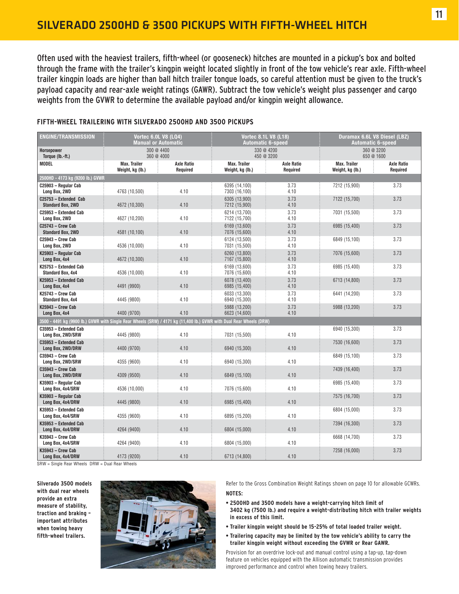Often used with the heaviest trailers, fifth-wheel (or gooseneck) hitches are mounted in a pickup's box and bolted through the frame with the trailer's kingpin weight located slightly in front of the tow vehicle's rear axle. Fifth-wheel trailer kingpin loads are higher than ball hitch trailer tongue loads, so careful attention must be given to the truck's payload capacity and rear-axle weight ratings (GAWR). Subtract the tow vehicle's weight plus passenger and cargo weights from the GVWR to determine the available payload and/or kingpin weight allowance.

| <b>ENGINE/TRANSMISSION</b>                                                                                           | <b>Vortec 6.0L V8 (LQ4)</b>      | <b>Manual or Automatic</b>    | <b>Vortec 8.1L V8 (L18)</b><br><b>Automatic 6-speed</b> |                               | Duramax 6.6L V8 Diesel (LBZ)<br><b>Automatic 6-speed</b> |                               |  |
|----------------------------------------------------------------------------------------------------------------------|----------------------------------|-------------------------------|---------------------------------------------------------|-------------------------------|----------------------------------------------------------|-------------------------------|--|
| Horsepower<br>Torque (lb.-ft.)                                                                                       |                                  | 300 @ 4400<br>360 @ 4000      |                                                         | 330 @ 4200<br>450 @ 3200      |                                                          | 360 @ 3200<br>650 @ 1600      |  |
| <b>MODEL</b>                                                                                                         | Max. Trailer<br>Weight, kg (lb.) | <b>Axle Ratio</b><br>Required | <b>Max. Trailer</b><br>Weight, kg (lb.)                 | <b>Axle Ratio</b><br>Required | <b>Max. Trailer</b><br>Weight, kg (lb.)                  | <b>Axle Ratio</b><br>Required |  |
| 2500HD - 4173 kg (9200 lb.) GVWR                                                                                     |                                  |                               |                                                         |                               |                                                          |                               |  |
| C25903 - Regular Cab<br>Long Box, 2WD                                                                                | 4763 (10,500)                    | 4.10                          | 6395 (14,100)<br>7303 (16,100)                          | 3.73<br>4.10                  | 7212 (15,900)                                            | 3.73                          |  |
| C25753 - Extended Cab<br><b>Standard Box, 2WD</b>                                                                    | 4672 (10,300)                    | 4.10                          | 6305 (13,900)<br>7212 (15,900)                          | 3.73<br>4.10                  | 7122 (15,700)                                            | 3.73                          |  |
| C25953 - Extended Cab<br>Long Box, 2WD                                                                               | 4627 (10,200)                    | 4.10                          | 6214 (13,700)<br>7122 (15,700)                          | 3.73<br>4.10                  | 7031 (15,500)                                            | 3.73                          |  |
| C25743 - Crew Cab<br><b>Standard Box, 2WD</b>                                                                        | 4581 (10,100)                    | 4.10                          | 6169 (13,600)<br>7076 (15,600)                          | 3.73<br>4.10                  | 6985 (15,400)                                            | 3.73                          |  |
| C25943 - Crew Cab<br>Long Box, 2WD                                                                                   | 4536 (10,000)                    | 4.10                          | 6124 (13,500)<br>7031 (15,500)                          | 3.73<br>4.10                  | 6849 (15,100)                                            | 3.73                          |  |
| K25903 - Regular Cab<br>Long Box, 4x4                                                                                | 4672 (10,300)                    | 4.10                          | 6260 (13.800)<br>7167 (15,800)                          | 3.73<br>4.10                  | 7076 (15,600)                                            | 3.73                          |  |
| K25753 - Extended Cab<br><b>Standard Box, 4x4</b>                                                                    | 4536 (10,000)                    | 4.10                          | 6169 (13,600)<br>7076 (15,600)                          | 3.73<br>4.10                  | 6985 (15,400)                                            | 3.73                          |  |
| K25953 - Extended Cab<br>Long Box, 4x4                                                                               | 4491 (9900)                      | 4.10                          | 6078 (13,400)<br>6985 (15,400)                          | 3.73<br>4.10                  | 6713 (14,800)                                            | 3.73                          |  |
| K25743 - Crew Cab<br>Standard Box, 4x4                                                                               | 4445 (9800)                      | 4.10                          | 6033 (13,300)<br>6940 (15,300)                          | 3.73<br>4.10                  | 6441 (14,200)                                            | 3.73                          |  |
| K25943 - Crew Cab<br>Long Box, 4x4                                                                                   | 4400 (9700)                      | 4.10                          | 5988 (13,200)<br>6623 (14,600)                          | 3.73<br>4.10                  | 5988 (13,200)                                            | 3.73                          |  |
| 3500 - 4491 kg (9900 lb.) GVWR with Single Rear Wheels (SRW) / 4171 kg (11,400 lb.) GVWR with Dual Rear Wheels (DRW) |                                  |                               |                                                         |                               |                                                          |                               |  |
| C35953 - Extended Cab<br>Long Box, 2WD/SRW                                                                           | 4445 (9800)                      | 4.10                          | 7031 (15,500)                                           | 4.10                          | 6940 (15,300)                                            | 3.73                          |  |
| C35953 - Extended Cab<br>Long Box, 2WD/DRW                                                                           | 4400 (9700)                      | 4.10                          | 6940 (15,300)                                           | 4.10                          | 7530 (16,600)                                            | 3.73                          |  |
| C35943 - Crew Cab<br>Long Box, 2WD/SRW                                                                               | 4355 (9600)                      | 4.10                          | 6940 (15,300)                                           | 4.10                          | 6849 (15,100)                                            | 3.73                          |  |
| C35943 - Crew Cab<br>Long Box, 2WD/DRW                                                                               | 4309 (9500)                      | 4.10                          | 6849 (15,100)                                           | 4.10                          | 7439 (16,400)                                            | 3.73                          |  |
| K35903 - Regular Cab<br>Long Box, 4x4/SRW                                                                            | 4536 (10,000)                    | 4.10                          | 7076 (15,600)                                           | 4.10                          | 6985 (15,400)                                            | 3.73                          |  |
| K35903 - Regular Cab<br>Long Box, 4x4/DRW                                                                            | 4445 (9800)                      | 4.10                          | 6985 (15,400)                                           | 4.10                          | 7575 (16,700)                                            | 3.73                          |  |
| K35953 - Extended Cab<br>Long Box, 4x4/SRW                                                                           | 4355 (9600)                      | 4.10                          | 6895 (15,200)                                           | 4.10                          | 6804 (15,000)                                            | 3.73                          |  |
| K35953 - Extended Cab<br>Long Box, 4x4/DRW                                                                           | 4264 (9400)                      | 4.10                          | 6804 (15,000)                                           | 4.10                          | 7394 (16,300)                                            | 3.73                          |  |
| K35943 - Crew Cab<br>Long Box, 4x4/SRW                                                                               | 4264 (9400)                      | 4.10                          | 6804 (15,000)                                           | 4.10                          | 6668 (14,700)                                            | 3.73                          |  |
| K35943 - Crew Cab<br>Long Box, 4x4/DRW                                                                               | 4173 (9200)                      | 4.10                          | 6713 (14,800)                                           | 4.10                          | 7258 (16,000)                                            | 3.73                          |  |

#### **FIFTH-WHEEL TRAILERING WITH SILVERADO 2500HD AND 3500 PICKUPS**

SRW = Single Rear Wheels DRW = Dual Rear Wheels

**Silverado 3500 models with dual rear wheels provide an extra measure of stability, traction and braking – important attributes when towing heavy fifth-wheel trailers.**



Refer to the Gross Combination Weight Ratings shown on page 10 for allowable GCWRs. **NOTES:**

- **2500HD and 3500 models have a weight-carrying hitch limit of 3402 kg (7500 lb.) and require a weight-distributing hitch with trailer weights in excess of this limit.**
- **Trailer kingpin weight should be 15-25% of total loaded trailer weight.**
- **Trailering capacity may be limited by the tow vehicle's ability to carry the trailer kingpin weight without exceeding the GVWR or Rear GAWR.**

Provision for an overdrive lock-out and manual control using a tap-up, tap-down feature on vehicles equipped with the Allison automatic transmission provides improved performance and control when towing heavy trailers.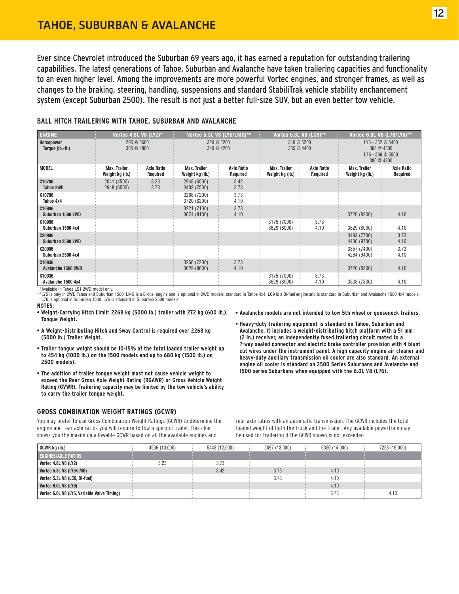### TAHOE, SUBURBAN & AVALANCHE

Ever since Chevrolet introduced the Suburban 69 years ago, it has earned a reputation for outstanding trailering capabilities. The latest generations of Tahoe, Suburban and Avalanche have taken trailering capacities and functionality to an even higher level. Among the improvements are more powerful Vortec engines, and stronger frames, as well as changes to the braking, steering, handling, suspensions and standard StabiliTrak vehicle stability enchancement system (except Suburban 2500). The result is not just a better full-size SUV, but an even better tow vehicle.

#### **BALL HITCH TRAILERING WITH TAHOE, SUBURBAN AND AVALANCHE**

| <b>ENGINE</b>                  |                                 | Vortec 4.8L V8 $(LYZ)^*$      |                                 | Vortec 5.3L V8 (LY5/LMG)**    | Vortec 5.3L V8 (LC9)**                 |                               | Vortec 6.0L V8 (L76/LY6)**                                         |                               |  |
|--------------------------------|---------------------------------|-------------------------------|---------------------------------|-------------------------------|----------------------------------------|-------------------------------|--------------------------------------------------------------------|-------------------------------|--|
| Horsepower<br>Torque (lb.-ft.) | 295 @ 5600<br>305 @ 4800        |                               | 320 @ 5200<br>340 @ 4200        |                               | 310 @ 5200<br>335 @ 4400               |                               | LY6 - 352 @ 5400<br>383 @ 4300<br>$L76 - 366 @ 5500$<br>380 @ 4300 |                               |  |
| <b>MODEL</b>                   | Max. Trailer<br>Weight kg (lb.) | <b>Axle Ratio</b><br>Required | Max. Trailer<br>Weight kg (lb.) | <b>Axle Ratio</b><br>Required | <b>Max. Trailer</b><br>Weight kg (lb.) | <b>Axle Ratio</b><br>Required | Max. Trailer<br>Weight kg (lb.)                                    | <b>Axle Ratio</b><br>Required |  |
| C10706<br>Tahoe 2WD            | 2041 (4500)<br>2948 (6500)      | 3.23<br>3.73                  | 2948 (6500)<br>3402 (7500)      | 3.42<br>3.73                  |                                        |                               |                                                                    |                               |  |
| K10706<br>Tahoe 4x4            |                                 |                               | 3266 (7200)<br>3720 (8200)      | 3.73<br>4.10                  |                                        |                               |                                                                    |                               |  |
| C10906<br>Suburban 1500 2WD    |                                 |                               | 3221 (7100)<br>3674 (8100)      | 3.73<br>4.10                  |                                        |                               | 3720 (8200)                                                        | 4.10                          |  |
| K10906<br>Suburban 1500 4x4    |                                 |                               |                                 |                               | 3175 (7000)<br>3629 (8000)             | 3.73<br>4.10                  | 3629 (8000)                                                        | 4.10                          |  |
| C20906<br>Suburban 2500 2WD    |                                 |                               |                                 |                               |                                        |                               | 3493 (7700)<br>4400 (9700)                                         | 3.73<br>4.10                  |  |
| K20906<br>Suburban 2500 4x4    |                                 |                               |                                 |                               |                                        |                               | 3357 (7400)<br>4264 (9400)                                         | 3.73<br>4.10                  |  |
| C10936<br>Avalanche 1500 2WD   |                                 |                               | 3266 (7200)<br>3629 (8000)      | 3.73<br>4.10                  |                                        |                               | 3720 (8200)                                                        | 4.10                          |  |
| K10936<br>Avalanche 1500 4x4   |                                 |                               |                                 |                               | 3175 (7000)<br>3629 (8000)             | 3.73<br>4.10                  | 3538 (7800)                                                        | 4.10                          |  |

\*Available in Tahoe LS1 2WD model only.

\*\*LY5 is only in 2WD Tahoe and Suburban 1500. LMG is a Bi-fuel engine and is optional in 2WD models, standard in Tahoe 4x4. LC9 is a Bi-fuel engine and is standard in Suburban and Avalanche 1500 4x4 models. L76 is optional in Suburban 1500. LY6 is standard in Suburban 2500 models.

**NOTES:**

- **Weight-Carrying Hitch Limit: 2268 kg (5000 lb.) trailer with 272 kg (600 lb.) Tongue Weight.**
- **A Weight-Distributing Hitch and Sway Control is required over 2268 kg (5000 lb.) Trailer Weight.**
- **Trailer tongue weight should be 10-15% of the total loaded trailer weight up to 454 kg (1000 lb.) on the 1500 models and up to 680 kg (1500 lb.) on 2500 models).**
- **The addition of trailer tongue weight must not cause vehicle weight to exceed the Rear Gross Axle Weight Rating (RGAWR) or Gross Vehicle Weight Rating (GVWR). Trailering capacity may be limited by the tow vehicle's ability to carry the trailer tongue weight.**

#### **GROSS COMBINATION WEIGHT RATINGS (GCWR)**

You may prefer to use Gross Combination Weight Ratings (GCWR) to determine the engine and rear axle ratios you will require to tow a specific trailer. This chart shows you the maximum allowable GCWR based on all the available engines and

- **Avalanche models are not intended to tow 5th wheel or gooseneck trailers.**
- **Heavy-duty trailering equipment is standard on Tahoe, Suburban and Avalanche. It includes a weight-distributing hitch platform with a 51 mm (2 in.) receiver, an independently fused trailering circuit mated to a 7-way sealed connector and electric brake controller provision with 4 blunt cut wires under the instrument panel. A high capacity engine air cleaner and heavy-duty auxiliary transmission oil cooler are also standard. An external engine oil cooler is standard on 2500 Series Suburbans and Avalanche and 1500 series Suburbans when equipped with the 6.0L V8 (L76).**

rear axle ratios with an automatic transmission. The GCWR includes the total loaded weight of both the truck and the trailer. Any available powertrain may be used for trailering if the GCWR shown is not exceeded.

| GCWR kg (lb.)                               | 4536 (10.000) | 5443 (12,000) | 5897 (13.000) | 6350 (14.000) | 7258 (16,000) |
|---------------------------------------------|---------------|---------------|---------------|---------------|---------------|
| <b>ENGINES/AXLE RATIOS</b>                  |               |               |               |               |               |
| <b>Vortec 4.8L V8 (LY2)</b>                 | 3.23          | 3.73          |               |               |               |
| Vortec 5.3L V8 (LY5/LMG)                    |               | 3.42          | 3.73          | 4.10          |               |
| Vortec 5.3L V8 (LC9, Bi-fuel)               |               |               | 3.73          | 4.10          |               |
| Vortec 6.0L V8 (LY6)                        |               |               |               | 4.10          |               |
| Vortec 6.0L V8 (LY6, Variable Valve Timing) |               |               |               | 3.73          | 4.10          |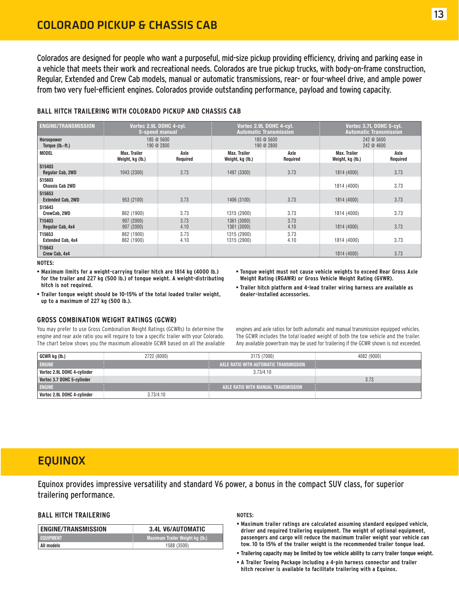Colorados are designed for people who want a purposeful, mid-size pickup providing efficiency, driving and parking ease in a vehicle that meets their work and recreational needs. Colorados are true pickup trucks, with body-on-frame construction, Regular, Extended and Crew Cab models, manual or automatic transmissions, rear- or four-wheel drive, and ample power from two very fuel-efficient engines. Colorados provide outstanding performance, payload and towing capacity.

#### **BALL HITCH TRAILERING WITH COLORADO PICKUP AND CHASSIS CAB**

| <b>ENGINE/TRANSMISSION</b>         | Vortec 2.9L DOHC 4-cyl.<br>5-speed manual |                  |                                  | Vortec 2.9L DOHC 4-cyl.<br><b>Automatic Transmission</b> | Vortec 3.7L DOHC 5-cyl.<br><b>Automatic Transmission</b> |                  |  |
|------------------------------------|-------------------------------------------|------------------|----------------------------------|----------------------------------------------------------|----------------------------------------------------------|------------------|--|
| Horsepower<br>Torque (lb.-ft.)     | 185 @ 5600<br>190 @ 2800                  |                  |                                  | 185 @ 5600<br>190 @ 2800                                 | 242 @ 5600<br>242 @ 4600                                 |                  |  |
| <b>MODEL</b>                       | Max. Trailer<br>Weight, kg (lb.)          | Axle<br>Required | Max. Trailer<br>Weight, kg (lb.) | Axle<br>Required                                         | <b>Max. Trailer</b><br>Weight, kg (lb.)                  | Axle<br>Required |  |
| S15403<br>Regular Cab, 2WD         | 1043 (2300)                               | 3.73             | 1497 (3300)                      | 3.73                                                     | 1814 (4000)                                              | 3.73             |  |
| S15603<br><b>Chassis Cab 2WD</b>   |                                           |                  |                                  |                                                          | 1814 (4000)                                              | 3.73             |  |
| S15653<br><b>Extended Cab, 2WD</b> | 953 (2100)                                | 3.73             | 1406 (3100)                      | 3.73                                                     | 1814 (4000)                                              | 3.73             |  |
| S15643<br>CrewCab, 2WD             | 862 (1900)                                | 3.73             | 1315 (2900)                      | 3.73                                                     | 1814 (4000)                                              | 3.73             |  |
| T15403<br>Regular Cab, 4x4         | 907 (2000)<br>907 (2000)                  | 3.73<br>4.10     | 1361 (3000)<br>1361 (3000)       | 3.73<br>4.10                                             | 1814 (4000)                                              | 3.73             |  |
| T15653<br><b>Extended Cab, 4x4</b> | 862 (1900)<br>862 (1900)                  | 3.73<br>4.10     | 1315 (2900)<br>1315 (2900)       | 3.73<br>4.10                                             | 1814 (4000)                                              | 3.73             |  |
| T15643<br>Crew Cab. 4x4            |                                           |                  |                                  |                                                          | 1814 (4000)                                              | 3.73             |  |

**NOTES:**

**• Maximum limits for a weight-carrying trailer hitch are 1814 kg (4000 lb.) for the trailer and 227 kg (500 lb.) of tongue weight. A weight-distributing hitch is not required.**

**• Trailer tongue weight should be 10-15% of the total loaded trailer weight, up to a maximum of 227 kg (500 lb.).**

#### **GROSS COMBINATION WEIGHT RATINGS (GCWR)**

You may prefer to use Gross Combination Weight Ratings (GCWRs) to determine the engine and rear axle ratio you will require to tow a specific trailer with your Colorado. The chart below shows you the maximum allowable GCWR based on all the available

- **Tongue weight must not cause vehicle weights to exceed Rear Gross Axle Weight Rating (RGAWR) or Gross Vehicle Weight Rating (GVWR).**
- **Trailer hitch platform and 4-lead trailer wiring harness are available as dealer-installed accessories.**

engines and axle ratios for both automatic and manual transmission equipped vehicles. The GCWR includes the total loaded weight of both the tow vehicle and the trailer. Any available powertrain may be used for trailering if the GCWR shown is not exceeded.

| GCWR kg (lb.)               | 2722 (6000) | 3175 (7000)                            | 4082 (9000) |
|-----------------------------|-------------|----------------------------------------|-------------|
| <b>ENGINE</b>               |             | AXLE RATIO WITH AUTOMATIC TRANSMISSION |             |
| Vortec 2.9L DOHC 4-cylinder |             | 3.73/4.10                              |             |
| Vortec 3.7 DOHC 5-cylinder  |             |                                        | 3.73        |
| <b>ENGINE</b>               |             | AXLE RATIO WITH MANUAL TRANSMISSION    |             |
| Vortec 2.9L DOHC 4-cylinder | 3.73/4.10   |                                        |             |

### EQUINOX

Equinox provides impressive versatility and standard V6 power, a bonus in the compact SUV class, for superior trailering performance.

#### **BALL HITCH TRAILERING**

| <b>ENGINE/TRANSMISSION</b> | <b>3.4L V6/AUTOMATIC</b>        |
|----------------------------|---------------------------------|
| <b>EQUIPMENT</b>           | Maximum Trailer Weight kg (lb.) |
| All models                 | 1588 (3500)                     |

#### **NOTES:**

- **Maximum trailer ratings are calculated assuming standard equipped vehicle, driver and required trailering equipment. The weight of optional equipment, passengers and cargo will reduce the maximum trailer weight your vehicle can tow. 10 to 15% of the trailer weight is the recommended trailer tongue load.**
- **Trailering capacity may be limited by tow vehicle ability to carry trailer tongue weight.**
- **A Trailer Towing Package including a 4-pin harness connector and trailer hitch receiver is available to facilitate trailering with a Equinox.**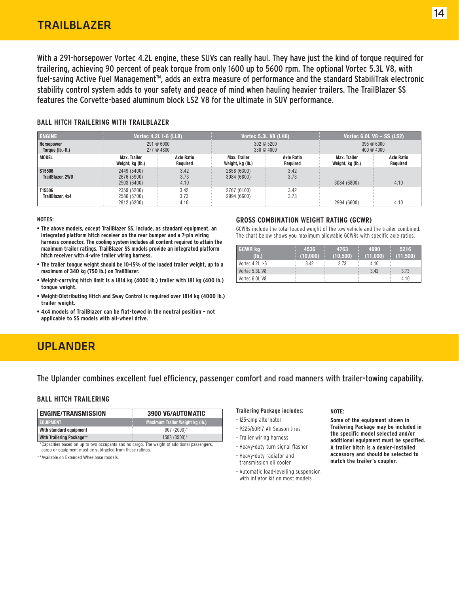With a 291-horsepower Vortec 4.2L engine, these SUVs can really haul. They have just the kind of torque required for trailering, achieving 90 percent of peak torque from only 1600 up to 5600 rpm. The optional Vortec 5.3L V8, with fuel-saving Active Fuel Management<sup>™</sup>, adds an extra measure of performance and the standard StabiliTrak electronic stability control system adds to your safety and peace of mind when hauling heavier trailers. The TrailBlazer SS features the Corvette-based aluminum block LS2 V8 for the ultimate in SUV performance.

#### **BALL HITCH TRAILERING WITH TRAILBLAZER**

| <b>ENGINE</b>                  | Vortec 4.2L I-6 (LL8),                    |                        |                                  | <b>Vortec 5.3L V8 (LH6)</b> |                                  | Vortec $6.0L$ V8 - SS (LS2)   |  |  |
|--------------------------------|-------------------------------------------|------------------------|----------------------------------|-----------------------------|----------------------------------|-------------------------------|--|--|
| Horsepower<br>Torque (lb.-ft.) | 291 @ 6000<br>277 @ 4800                  |                        |                                  | 302@5200<br>330 @ 4000      | 395@6000<br>400 @ 4000           |                               |  |  |
| MODEL                          | Max. Trailer<br>Weight, kg (lb.)          | Axle Ratio<br>Required | Max. Trailer<br>Weight, kg (lb.) | Axle Ratio<br>Required      | Max. Trailer<br>Weight, kg (lb.) | <b>Axle Ratio</b><br>Required |  |  |
| S15506<br>TrailBlazer, 2WD     | 2449 (5400)<br>2676 (5900)<br>2903 (6400) | 3.42<br>3.73<br>4.10   | 2858 (6300)<br>3084 (6800)       | 3.42<br>3.73                | 3084 (6800)                      | 4.10                          |  |  |
| T15506<br>TrailBlazer, 4x4     | 2359 (5200)<br>2586 (5700)<br>2812 (6200) | 3.42<br>3.73<br>4.10   | 2767 (6100)<br>2994 (6600)       | 3.42<br>3.73                | 2994 (6600)                      | 4.10                          |  |  |

**NOTES:**

**• The above models, except TrailBlazer SS, include, as standard equipment, an integrated platform hitch receiver on the rear bumper and a 7-pin wiring harness connector. The cooling system includes all content required to attain the maximum trailer ratings. TrailBlazer SS models provide an integrated platform hitch receiver with 4-wire trailer wiring harness.**

- **The trailer tongue weight should be 10-15% of the loaded trailer weight, up to a maximum of 340 kg (750 lb.) on TrailBlazer.**
- **Weight-carrying hitch limit is a 1814 kg (4000 lb.) trailer with 181 kg (400 lb.) tongue weight.**
- **Weight-Distributing Hitch and Sway Control is required over 1814 kg (4000 lb.) trailer weight.**
- **4x4 models of TrailBlazer can be flat-towed in the neutral position not applicable to SS models with all-wheel drive.**

## UPLANDER

The Uplander combines excellent fuel efficiency, passenger comfort and road manners with trailer-towing capability.

#### **BALL HITCH TRAILERING**

| <b>ENGINE/TRANSMISSION</b> | 3900 V6/AUTOMATIC               |
|----------------------------|---------------------------------|
| <b>EQUIPMENT</b>           | Maximum Trailer Weight kg (lb.) |
| With standard equipment    | $907(2000)^*$                   |
| With Trailering Package**  | 1588 (3500)*                    |

\*\*Capacities based on up to two occupants and no cargo. The weight of additional passengers, cargo or equipment must be subtracted from these ratings.

\*\*Available on Extended Wheelbase models.

#### **GROSS COMBINATION WEIGHT RATING (GCWR)**

GCWRs include the total loaded weight of the tow vehicle and the trailer combined. The chart below shows you maximum allowable GCWRs with specific axle ratios.

| <b>GCWR kg</b>  | 4536     | 4763      | 4990     | 5216     |
|-----------------|----------|-----------|----------|----------|
| $(\mathsf{Ib})$ | (10,000) | (10, 500) | (11,000) | (11,500) |
| Vortec 4.2L I-6 | 3.42     | 3.73      | 4.10     |          |
| Vortec 5.3L V8  |          |           | 3.42     | 3.73     |
| Vortec 6.0L V8  |          |           |          | 4.10     |

#### **Trailering Package includes:**

- 125-amp alternator
- P225/60R17 All Season tires
- Trailer wiring harness
- Heavy-duty turn signal flasher
- Heavy-duty radiator and transmission oil cooler
- Automatic load-levelling suspension with inflator kit on most models

#### **NOTE:**

**Some of the equipment shown in Trailering Package may be included in the specific model selected and/or additional equipment must be specified. A trailer hitch is a dealer-installed accessory and should be selected to match the trailer's coupler.**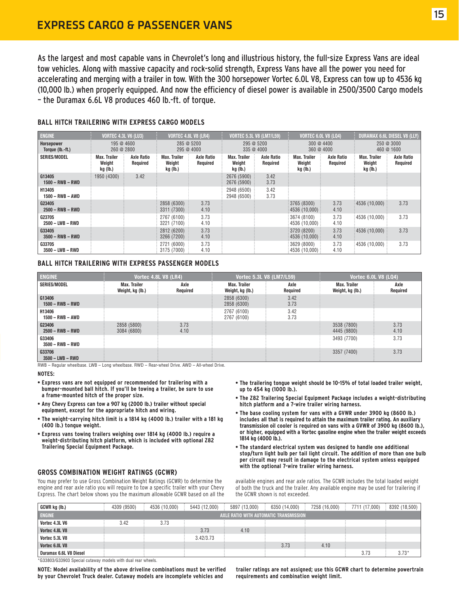As the largest and most capable vans in Chevrolet's long and illustrious history, the full-size Express Vans are ideal tow vehicles. Along with massive capacity and rock-solid strength, Express Vans have all the power you need for accelerating and merging with a trailer in tow. With the 300 horsepower Vortec 6.0L V8, Express can tow up to 4536 kg (10,000 lb.) when properly equipped. And now the efficiency of diesel power is available in 2500/3500 Cargo models – the Duramax 6.6L V8 produces 460 lb.-ft. of torque.

| <b>ENGINE</b>                  | <b>VORTEC 4.3L V6 (LU3)</b>               |                               | <b>VORTEC 4.8L V8 (LR4)</b>               |                               |                                    | <b>VORTEC 5.3L V8 (LM7/L59)</b> |                                                          | <b>VORTEC 6.0L V8 (LQ4)</b>   | <b>DURAMAX 6.6L DIESEL V8 (LLY)</b>       |                               |  |
|--------------------------------|-------------------------------------------|-------------------------------|-------------------------------------------|-------------------------------|------------------------------------|---------------------------------|----------------------------------------------------------|-------------------------------|-------------------------------------------|-------------------------------|--|
| Horsepower<br>Torque (lb.-ft.) | 195 @ 4600<br>260 @ 2800                  |                               |                                           | 285 @ 5200<br>295 @ 4000      |                                    | 295 @ 5200<br>335 @ 4000        |                                                          | 300@4400<br>360 @ 4000        |                                           | 250@3000<br>460 @ 1600        |  |
| <b>SERIES/MODEL</b>            | <b>Max. Trailer</b><br>Weight<br>kg (lb.) | <b>Axle Ratio</b><br>Required | <b>Max. Trailer</b><br>Weight<br>kg (lb.) | <b>Axle Ratio</b><br>Required | Max. Trailer<br>Weight<br>kg (lb.) | <b>Axle Ratio</b><br>Required   | <b>Max. Trailer</b><br>Weight<br>kg (lb.)                | <b>Axle Ratio</b><br>Required | <b>Max. Trailer</b><br>Weight<br>kg (lb.) | <b>Axle Ratio</b><br>Required |  |
| G13405<br>$1500 - RWB - RWD$   | 1950 (4300)                               | 3.42                          |                                           |                               | 2676 (5900)<br>2676 (5900)         | 3.42<br>3.73                    |                                                          |                               |                                           |                               |  |
| H13405<br>1500 - RWB - AWD     |                                           |                               |                                           |                               | 2948 (6500)<br>2948 (6500)         | 3.42<br>3.73                    |                                                          |                               |                                           |                               |  |
| G23405<br>$2500 - RWB - RWD$   |                                           |                               | 2858 (6300)<br>3311 (7300)                | 3.73<br>4.10                  |                                    |                                 | 3765 (8300)<br>: 4536(10,000)                            | 3.73<br>4.10                  | 4536 (10,000)                             | 3.73                          |  |
| G23705<br>2500 - LWB - RWD     |                                           |                               | 2767 (6100)<br>3221 (7100)                | 3.73<br>4.10                  |                                    |                                 | 3674 (8100)<br>$\frac{1}{2}$ 4536 (10,000) $\frac{1}{2}$ | 3.73<br>4.10                  | : 4536(10,000)                            | 3.73                          |  |
| G33405<br>$3500 - RWB - RWD$   |                                           |                               | 2812 (6200)<br>3266 (7200)                | 3.73<br>4.10                  |                                    |                                 | 3720 (8200)<br>:4536 (10,000):                           | 3.73<br>4.10                  | 4536 (10.000)                             | 3.73                          |  |
| G33705<br>$3500 - LWB - RWD$   |                                           |                               | 2721 (6000)<br>3175 (7000)                | 3.73<br>4.10                  |                                    |                                 | 3629 (8000)<br>: 4536(10,000)                            | 3.73<br>4.10                  | 4536 (10,000)                             | 3.73                          |  |

#### **BALL HITCH TRAILERING WITH EXPRESS CARGO MODELS**

#### **BALL HITCH TRAILERING WITH EXPRESS PASSENGER MODELS**

| <b>ENGINE</b>                | Vortec 4.8L V8 (LR4)             |                  | Vortec 5.3L V8 (LM7/L59)         |                  | <b>Vortec 6.0L V8 (LQ4)</b>      |                  |
|------------------------------|----------------------------------|------------------|----------------------------------|------------------|----------------------------------|------------------|
| SERIES/MODEL                 | Max. Trailer<br>Weight, kg (lb.) | Axle<br>Required | Max. Trailer<br>Weight, kg (lb.) | Axle<br>Required | Max. Trailer<br>Weight, kg (lb.) | Axle<br>Required |
| G13406<br>$1500 - RWB - RWD$ |                                  |                  | 2858 (6300)<br>2858 (6300)       | 3.42<br>3.73     |                                  |                  |
| H13406<br>$1500 - RWB - AWD$ |                                  |                  | 2767 (6100)<br>2767 (6100)       | 3.42<br>3.73     |                                  |                  |
| G23406<br>$2500 - RWB - RWD$ | 2858 (5800)<br>3084 (6800)       | 3.73<br>4.10     |                                  |                  | 3538 (7800)<br>4445 (9800)       | 3.73<br>4.10     |
| G33406<br>$3500 - RWB - RWD$ |                                  |                  |                                  |                  | 3493 (7700)                      | 3.73             |
| G33706<br>$3500 - LWB - RWD$ |                                  |                  |                                  |                  | 3357 (7400)                      | 3.73             |

RWB – Regular wheelbase. LWB – Long wheelbase. RWD – Rear-wheel Drive. AWD – All-wheel Drive.

#### **NOTES:**

- **Express vans are not equipped or recommended for trailering with a bumper-mounted ball hitch. If you'll be towing a trailer, be sure to use a frame-mounted hitch of the proper size.**
- **Any Chevy Express can tow a 907 kg (2000 lb.) trailer without special equipment, except for the appropriate hitch and wiring.**
- **The weight-carrying hitch limit is a 1814 kg (4000 lb.) trailer with a 181 kg (400 lb.) tongue weight.**
- **Express vans towing trailers weighing over 1814 kg (4000 lb.) require a weight-distributing hitch platform, which is included with optional Z82 Trailering Special Equipment Package.**

#### **GROSS COMBINATION WEIGHT RATINGS (GCWR)**

You may prefer to use Gross Combination Weight Ratings (GCWR) to determine the engine and rear axle ratio you will require to tow a specific trailer with your Chevy Express. The chart below shows you the maximum allowable GCWR based on all the

- **The trailering tongue weight should be 10-15% of total loaded trailer weight, up to 454 kg (1000 lb.).**
- **The Z82 Trailering Special Equipment Package includes a weight-distributing hitch platform and a 7-wire trailer wiring harness.**
- **The base cooling system for vans with a GVWR under 3900 kg (8600 lb.) includes all that is required to attain the maximum trailer rating. An auxiliary transmission oil cooler is required on vans with a GVWR of 3900 kg (8600 lb.), or higher, equipped with a Vortec gasoline engine when the trailer weight exceeds 1814 kg (4000 lb.).**
- **The standard electrical system was designed to handle one additional stop/turn light bulb per tail light circuit. The addition of more than one bulb per circuit may result in damage to the electrical system unless equipped with the optional 7-wire trailer wiring harness.**

available engines and rear axle ratios. The GCWR includes the total loaded weight of both the truck and the trailer. Any available engine may be used for trailering if the GCWR shown is not exceeded.

| GCWR kg (lb.)                                                                                                                                                                                                                                                                                                                                           | 4309 (9500) | 4536 (10,000) | 5443 (12,000) | 5897 (13,000)                          | 6350 (14,000) | 7258 (16,000) | 7711 (17,000) | 8392 (18,500) |
|---------------------------------------------------------------------------------------------------------------------------------------------------------------------------------------------------------------------------------------------------------------------------------------------------------------------------------------------------------|-------------|---------------|---------------|----------------------------------------|---------------|---------------|---------------|---------------|
| <b>ENGINE</b>                                                                                                                                                                                                                                                                                                                                           |             |               |               | AXLE RATIO WITH AUTOMATIC TRANSMISSION |               |               |               |               |
| Vortec 4.3L V6                                                                                                                                                                                                                                                                                                                                          | 3.42        | 3.73          |               |                                        |               |               |               |               |
| Vortec 4.8L V8                                                                                                                                                                                                                                                                                                                                          |             |               | 3.73          | 4.10                                   |               |               |               |               |
| Vortec 5.3L V8                                                                                                                                                                                                                                                                                                                                          |             |               | 3.42/3.73     |                                        |               |               |               |               |
| Vortec 6.0L V8                                                                                                                                                                                                                                                                                                                                          |             |               |               |                                        | 3.73          | 4.10          |               |               |
| Duramax 6.6L V8 Diesel<br>$\ddotsc$ $\ddotsc$ $\ddotsc$ $\ddotsc$ $\ddotsc$ $\ddotsc$ $\ddotsc$ $\ddotsc$ $\ddotsc$ $\ddotsc$ $\ddotsc$ $\ddotsc$ $\ddotsc$ $\ddotsc$ $\ddotsc$ $\ddotsc$ $\ddotsc$ $\ddotsc$ $\ddotsc$ $\ddotsc$ $\ddotsc$ $\ddotsc$ $\ddotsc$ $\ddotsc$ $\ddotsc$ $\ddotsc$ $\ddotsc$ $\ddotsc$ $\ddotsc$ $\ddotsc$ $\ddotsc$ $\ddot$ |             |               |               |                                        |               |               | 3.73          | $3.73*$       |

G33803/G33903 Special cutaway models with dual rear wheels.

**NOTE: Model availability of the above driveline combinations must be verified by your Chevrolet Truck dealer. Cutaway models are incomplete vehicles and**

**trailer ratings are not assigned; use this GCWR chart to determine powertrain requirements and combination weight limit.**